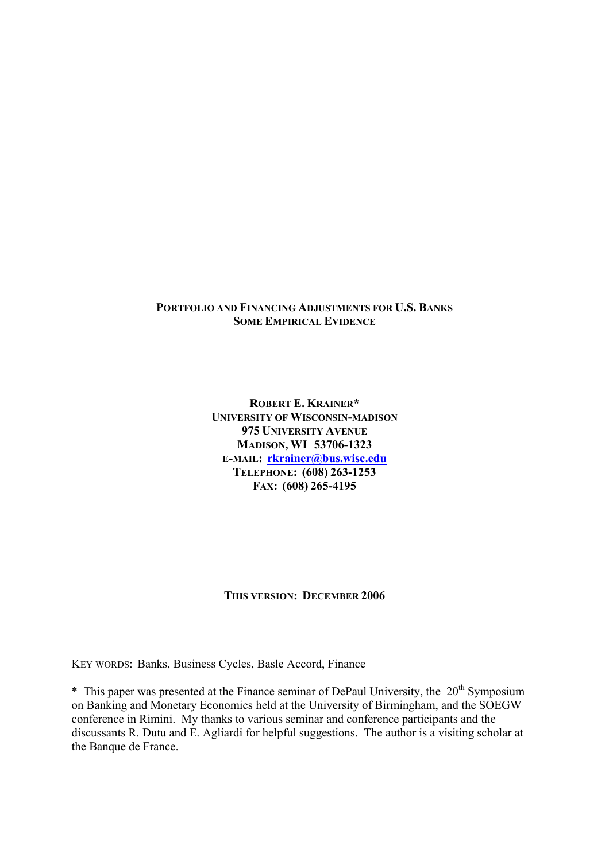# **PORTFOLIO AND FINANCING ADJUSTMENTS FOR U.S. BANKS SOME EMPIRICAL EVIDENCE**

**ROBERT E. KRAINER\* UNIVERSITY OF WISCONSIN-MADISON 975 UNIVERSITY AVENUE MADISON, WI 53706-1323 E-MAIL: rkrainer@bus.wisc.edu TELEPHONE: (608) 263-1253 FAX: (608) 265-4195** 

# **THIS VERSION: DECEMBER 2006**

KEY WORDS: Banks, Business Cycles, Basle Accord, Finance

\* This paper was presented at the Finance seminar of DePaul University, the 20<sup>th</sup> Symposium on Banking and Monetary Economics held at the University of Birmingham, and the SOEGW conference in Rimini. My thanks to various seminar and conference participants and the discussants R. Dutu and E. Agliardi for helpful suggestions. The author is a visiting scholar at the Banque de France.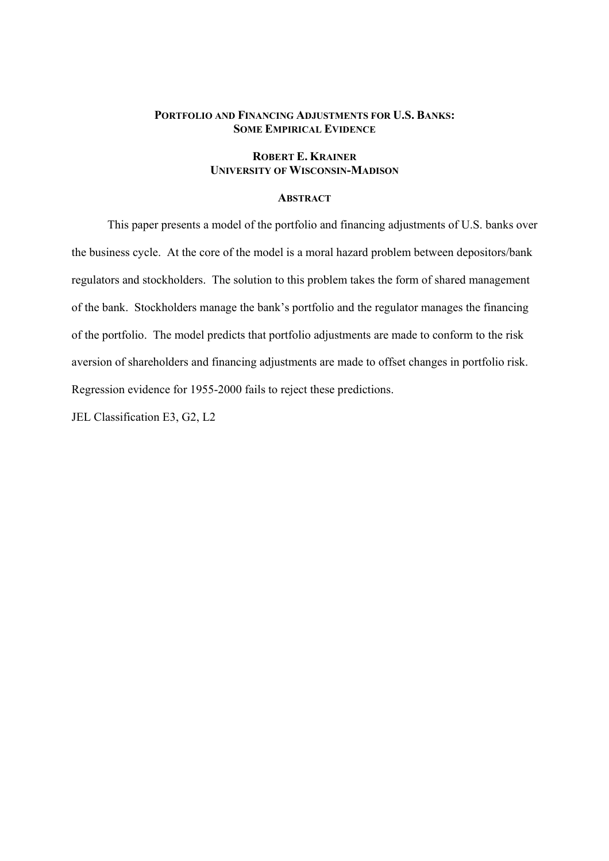## **PORTFOLIO AND FINANCING ADJUSTMENTS FOR U.S. BANKS: SOME EMPIRICAL EVIDENCE**

# **ROBERT E. KRAINER UNIVERSITY OF WISCONSIN-MADISON**

#### **ABSTRACT**

This paper presents a model of the portfolio and financing adjustments of U.S. banks over the business cycle. At the core of the model is a moral hazard problem between depositors/bank regulators and stockholders. The solution to this problem takes the form of shared management of the bank. Stockholders manage the bank's portfolio and the regulator manages the financing of the portfolio. The model predicts that portfolio adjustments are made to conform to the risk aversion of shareholders and financing adjustments are made to offset changes in portfolio risk. Regression evidence for 1955-2000 fails to reject these predictions.

JEL Classification E3, G2, L2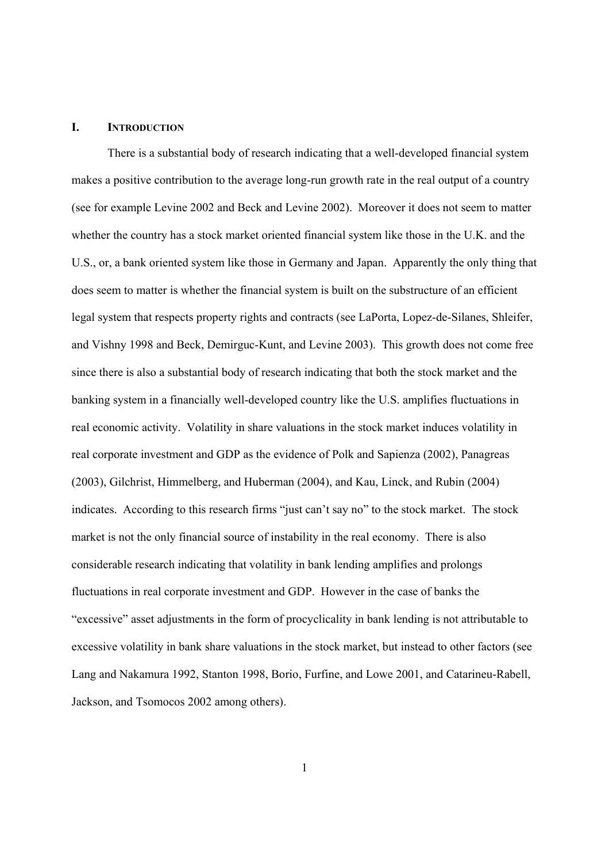#### **I. INTRODUCTION**

There is a substantial body of research indicating that a well-developed financial system makes a positive contribution to the average long-run growth rate in the real output of a country (see for example Levine 2002 and Beck and Levine 2002). Moreover it does not seem to matter whether the country has a stock market oriented financial system like those in the U.K. and the U.S., or, a bank oriented system like those in Germany and Japan. Apparently the only thing that does seem to matter is whether the financial system is built on the substructure of an efficient legal system that respects property rights and contracts (see LaPorta, Lopez-de-Silanes, Shleifer, and Vishny 1998 and Beck, Demirguc-Kunt, and Levine 2003). This growth does not come free since there is also a substantial body of research indicating that both the stock market and the banking system in a financially well-developed country like the U.S. amplifies fluctuations in real economic activity. Volatility in share valuations in the stock market induces volatility in real corporate investment and GDP as the evidence of Polk and Sapienza (2002), Panagreas (2003), Gilchrist, Himmelberg, and Huberman (2004), and Kau, Linck, and Rubin (2004) indicates. According to this research firms "just can't say no" to the stock market. The stock market is not the only financial source of instability in the real economy. There is also considerable research indicating that volatility in bank lending amplifies and prolongs fluctuations in real corporate investment and GDP. However in the case of banks the "excessive" asset adjustments in the form of procyclicality in bank lending is not attributable to excessive volatility in bank share valuations in the stock market, but instead to other factors (see Lang and Nakamura 1992, Stanton 1998, Borio, Furfine, and Lowe 2001, and Catarineu-Rabell, Jackson, and Tsomocos 2002 among others).

1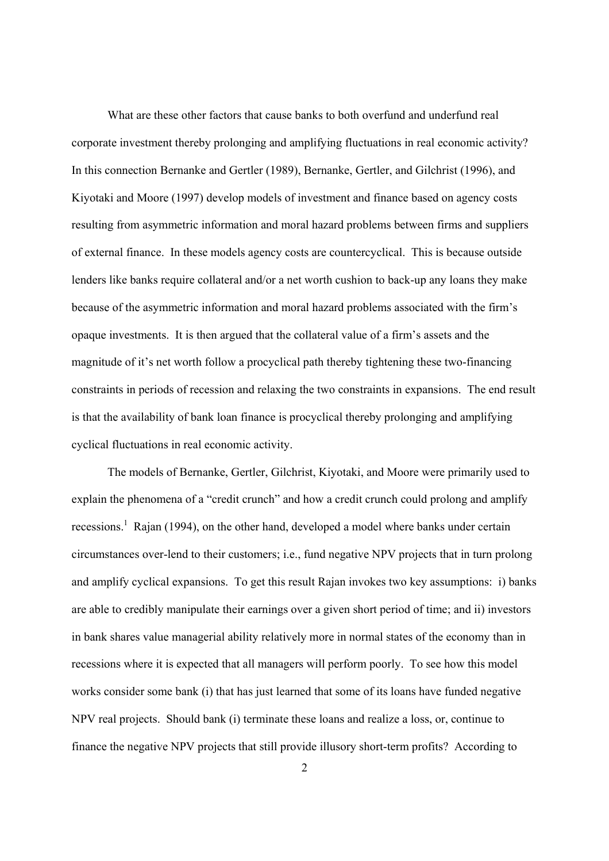What are these other factors that cause banks to both overfund and underfund real corporate investment thereby prolonging and amplifying fluctuations in real economic activity? In this connection Bernanke and Gertler (1989), Bernanke, Gertler, and Gilchrist (1996), and Kiyotaki and Moore (1997) develop models of investment and finance based on agency costs resulting from asymmetric information and moral hazard problems between firms and suppliers of external finance. In these models agency costs are countercyclical. This is because outside lenders like banks require collateral and/or a net worth cushion to back-up any loans they make because of the asymmetric information and moral hazard problems associated with the firm's opaque investments. It is then argued that the collateral value of a firm's assets and the magnitude of it's net worth follow a procyclical path thereby tightening these two-financing constraints in periods of recession and relaxing the two constraints in expansions. The end result is that the availability of bank loan finance is procyclical thereby prolonging and amplifying cyclical fluctuations in real economic activity.

The models of Bernanke, Gertler, Gilchrist, Kiyotaki, and Moore were primarily used to explain the phenomena of a "credit crunch" and how a credit crunch could prolong and amplify recessions.<sup>1</sup> Rajan (1994), on the other hand, developed a model where banks under certain circumstances over-lend to their customers; i.e., fund negative NPV projects that in turn prolong and amplify cyclical expansions. To get this result Rajan invokes two key assumptions: i) banks are able to credibly manipulate their earnings over a given short period of time; and ii) investors in bank shares value managerial ability relatively more in normal states of the economy than in recessions where it is expected that all managers will perform poorly. To see how this model works consider some bank (i) that has just learned that some of its loans have funded negative NPV real projects. Should bank (i) terminate these loans and realize a loss, or, continue to finance the negative NPV projects that still provide illusory short-term profits? According to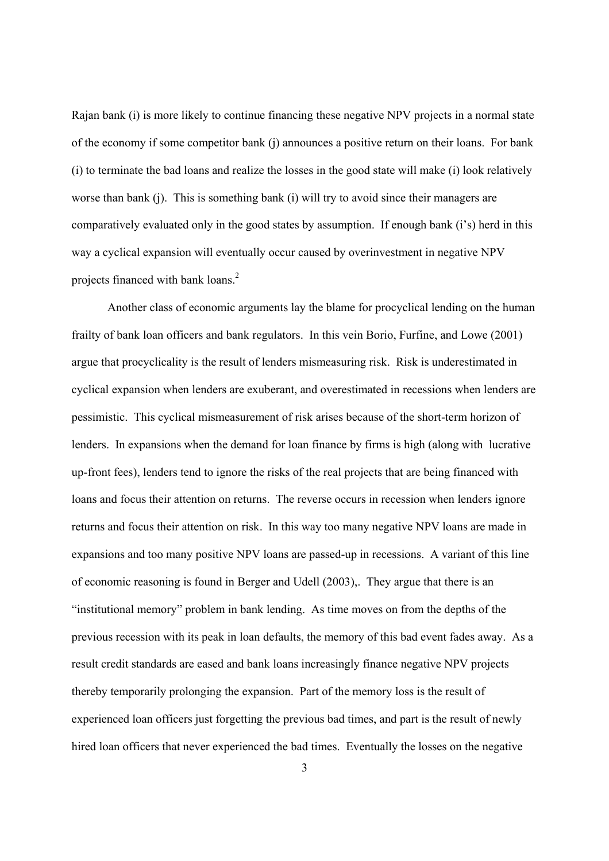Rajan bank (i) is more likely to continue financing these negative NPV projects in a normal state of the economy if some competitor bank (j) announces a positive return on their loans. For bank (i) to terminate the bad loans and realize the losses in the good state will make (i) look relatively worse than bank (j). This is something bank (i) will try to avoid since their managers are comparatively evaluated only in the good states by assumption. If enough bank (i's) herd in this way a cyclical expansion will eventually occur caused by overinvestment in negative NPV projects financed with bank loans.2

Another class of economic arguments lay the blame for procyclical lending on the human frailty of bank loan officers and bank regulators. In this vein Borio, Furfine, and Lowe (2001) argue that procyclicality is the result of lenders mismeasuring risk. Risk is underestimated in cyclical expansion when lenders are exuberant, and overestimated in recessions when lenders are pessimistic. This cyclical mismeasurement of risk arises because of the short-term horizon of lenders. In expansions when the demand for loan finance by firms is high (along with lucrative up-front fees), lenders tend to ignore the risks of the real projects that are being financed with loans and focus their attention on returns. The reverse occurs in recession when lenders ignore returns and focus their attention on risk. In this way too many negative NPV loans are made in expansions and too many positive NPV loans are passed-up in recessions. A variant of this line of economic reasoning is found in Berger and Udell (2003),. They argue that there is an "institutional memory" problem in bank lending. As time moves on from the depths of the previous recession with its peak in loan defaults, the memory of this bad event fades away. As a result credit standards are eased and bank loans increasingly finance negative NPV projects thereby temporarily prolonging the expansion. Part of the memory loss is the result of experienced loan officers just forgetting the previous bad times, and part is the result of newly hired loan officers that never experienced the bad times. Eventually the losses on the negative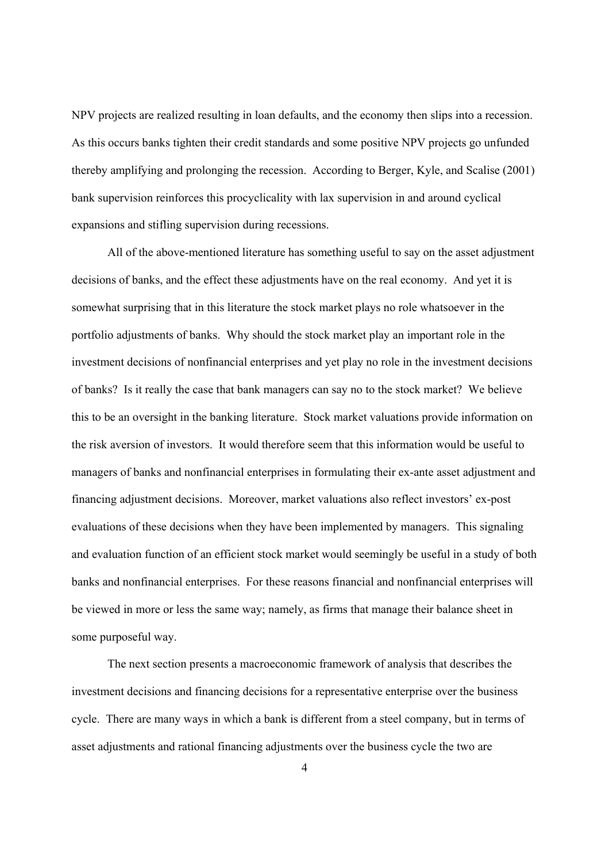NPV projects are realized resulting in loan defaults, and the economy then slips into a recession. As this occurs banks tighten their credit standards and some positive NPV projects go unfunded thereby amplifying and prolonging the recession. According to Berger, Kyle, and Scalise (2001) bank supervision reinforces this procyclicality with lax supervision in and around cyclical expansions and stifling supervision during recessions.

All of the above-mentioned literature has something useful to say on the asset adjustment decisions of banks, and the effect these adjustments have on the real economy. And yet it is somewhat surprising that in this literature the stock market plays no role whatsoever in the portfolio adjustments of banks. Why should the stock market play an important role in the investment decisions of nonfinancial enterprises and yet play no role in the investment decisions of banks? Is it really the case that bank managers can say no to the stock market? We believe this to be an oversight in the banking literature. Stock market valuations provide information on the risk aversion of investors. It would therefore seem that this information would be useful to managers of banks and nonfinancial enterprises in formulating their ex-ante asset adjustment and financing adjustment decisions. Moreover, market valuations also reflect investors' ex-post evaluations of these decisions when they have been implemented by managers. This signaling and evaluation function of an efficient stock market would seemingly be useful in a study of both banks and nonfinancial enterprises. For these reasons financial and nonfinancial enterprises will be viewed in more or less the same way; namely, as firms that manage their balance sheet in some purposeful way.

The next section presents a macroeconomic framework of analysis that describes the investment decisions and financing decisions for a representative enterprise over the business cycle. There are many ways in which a bank is different from a steel company, but in terms of asset adjustments and rational financing adjustments over the business cycle the two are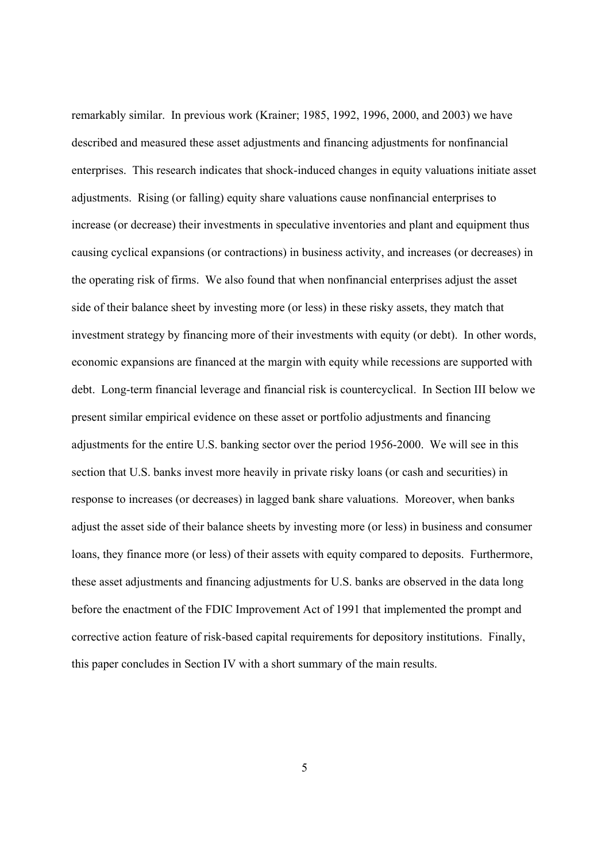remarkably similar. In previous work (Krainer; 1985, 1992, 1996, 2000, and 2003) we have described and measured these asset adjustments and financing adjustments for nonfinancial enterprises. This research indicates that shock-induced changes in equity valuations initiate asset adjustments. Rising (or falling) equity share valuations cause nonfinancial enterprises to increase (or decrease) their investments in speculative inventories and plant and equipment thus causing cyclical expansions (or contractions) in business activity, and increases (or decreases) in the operating risk of firms. We also found that when nonfinancial enterprises adjust the asset side of their balance sheet by investing more (or less) in these risky assets, they match that investment strategy by financing more of their investments with equity (or debt). In other words, economic expansions are financed at the margin with equity while recessions are supported with debt. Long-term financial leverage and financial risk is countercyclical. In Section III below we present similar empirical evidence on these asset or portfolio adjustments and financing adjustments for the entire U.S. banking sector over the period 1956-2000. We will see in this section that U.S. banks invest more heavily in private risky loans (or cash and securities) in response to increases (or decreases) in lagged bank share valuations. Moreover, when banks adjust the asset side of their balance sheets by investing more (or less) in business and consumer loans, they finance more (or less) of their assets with equity compared to deposits. Furthermore, these asset adjustments and financing adjustments for U.S. banks are observed in the data long before the enactment of the FDIC Improvement Act of 1991 that implemented the prompt and corrective action feature of risk-based capital requirements for depository institutions. Finally, this paper concludes in Section IV with a short summary of the main results.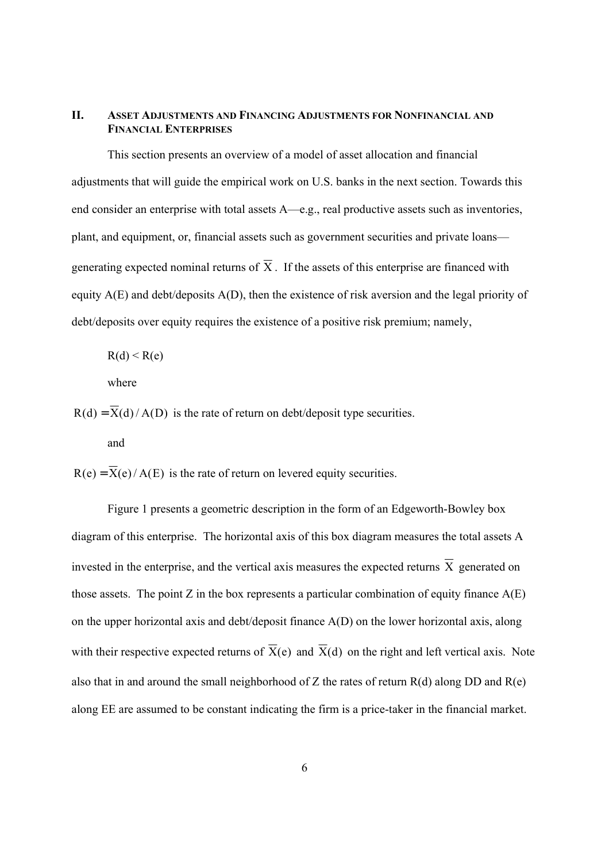## **II. ASSET ADJUSTMENTS AND FINANCING ADJUSTMENTS FOR NONFINANCIAL AND FINANCIAL ENTERPRISES**

This section presents an overview of a model of asset allocation and financial adjustments that will guide the empirical work on U.S. banks in the next section. Towards this end consider an enterprise with total assets A—e.g., real productive assets such as inventories, plant, and equipment, or, financial assets such as government securities and private loans generating expected nominal returns of  $\overline{X}$ . If the assets of this enterprise are financed with equity A(E) and debt/deposits A(D), then the existence of risk aversion and the legal priority of debt/deposits over equity requires the existence of a positive risk premium; namely,

 $R(d) < R(e)$ where

 $R(d) = \overline{X}(d) / A(D)$  is the rate of return on debt/deposit type securities.

and

 $R(e) = \overline{X}(e)/A(E)$  is the rate of return on levered equity securities.

Figure 1 presents a geometric description in the form of an Edgeworth-Bowley box diagram of this enterprise. The horizontal axis of this box diagram measures the total assets A invested in the enterprise, and the vertical axis measures the expected returns  $\overline{X}$  generated on those assets. The point Z in the box represents a particular combination of equity finance  $A(E)$ on the upper horizontal axis and debt/deposit finance A(D) on the lower horizontal axis, along with their respective expected returns of  $\overline{X}(e)$  and  $\overline{X}(d)$  on the right and left vertical axis. Note also that in and around the small neighborhood of Z the rates of return  $R(d)$  along DD and  $R(e)$ along EE are assumed to be constant indicating the firm is a price-taker in the financial market.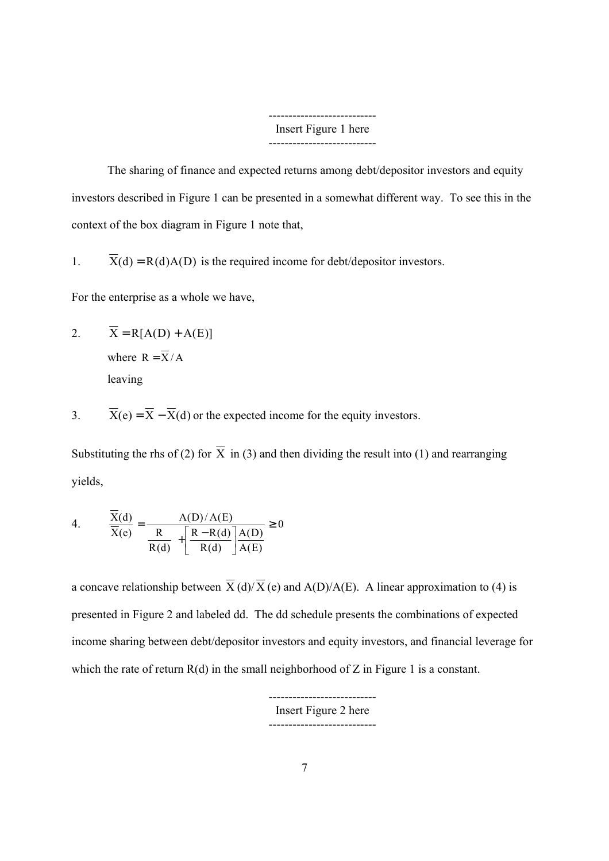--------------------------- Insert Figure 1 here

The sharing of finance and expected returns among debt/depositor investors and equity investors described in Figure 1 can be presented in a somewhat different way. To see this in the context of the box diagram in Figure 1 note that,

1.  $\overline{X}(d) = R(d)A(D)$  is the required income for debt/depositor investors.

For the enterprise as a whole we have,

2. 
$$
\overline{X} = R[A(D) + A(E)]
$$
  
where  $R = \overline{X}/A$   
leaving

3.  $\overline{X}(e) = \overline{X} - \overline{X}(d)$  or the expected income for the equity investors.

Substituting the rhs of (2) for  $\overline{X}$  in (3) and then dividing the result into (1) and rearranging yields,

4. 
$$
\frac{X(d)}{\overline{X}(e)} = \frac{A(D)/A(E)}{R(d)} + \left[\frac{R - R(d)}{R(d)}\right] \frac{A(D)}{A(E)} \ge 0
$$

a concave relationship between  $\overline{X}$  (d)/ $\overline{X}$  (e) and A(D)/A(E). A linear approximation to (4) is presented in Figure 2 and labeled dd. The dd schedule presents the combinations of expected income sharing between debt/depositor investors and equity investors, and financial leverage for which the rate of return  $R(d)$  in the small neighborhood of Z in Figure 1 is a constant.

> --------------------------- Insert Figure 2 here ---------------------------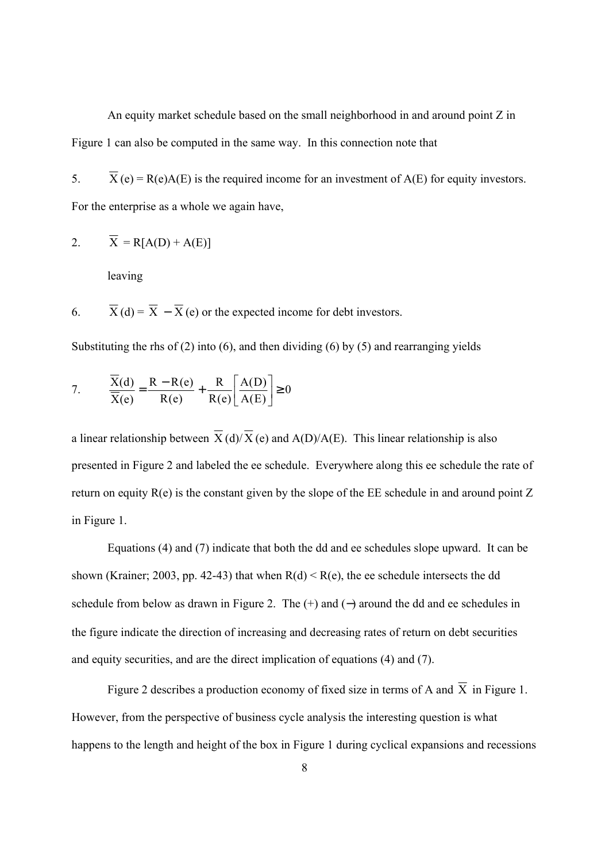An equity market schedule based on the small neighborhood in and around point Z in Figure 1 can also be computed in the same way. In this connection note that

5.  $\overline{X}$  (e) = R(e)A(E) is the required income for an investment of A(E) for equity investors. For the enterprise as a whole we again have,

2. 
$$
\overline{X} = R[A(D) + A(E)]
$$

leaving

6.  $\overline{X}$  (d) =  $\overline{X}$  –  $\overline{X}$  (e) or the expected income for debt investors.

Substituting the rhs of (2) into (6), and then dividing (6) by (5) and rearranging yields

7. 
$$
\frac{\overline{X}(d)}{\overline{X}(e)} = \frac{R - R(e)}{R(e)} + \frac{R}{R(e)} \left[ \frac{A(D)}{A(E)} \right] \ge 0
$$

a linear relationship between  $\overline{X}$  (d)/ $\overline{X}$  (e) and A(D)/A(E). This linear relationship is also presented in Figure 2 and labeled the ee schedule. Everywhere along this ee schedule the rate of return on equity R(e) is the constant given by the slope of the EE schedule in and around point Z in Figure 1.

 Equations (4) and (7) indicate that both the dd and ee schedules slope upward. It can be shown (Krainer; 2003, pp. 42-43) that when  $R(d) < R(e)$ , the ee schedule intersects the dd schedule from below as drawn in Figure 2. The  $(+)$  and  $(-)$  around the dd and ee schedules in the figure indicate the direction of increasing and decreasing rates of return on debt securities and equity securities, and are the direct implication of equations (4) and (7).

Figure 2 describes a production economy of fixed size in terms of A and  $\overline{X}$  in Figure 1. However, from the perspective of business cycle analysis the interesting question is what happens to the length and height of the box in Figure 1 during cyclical expansions and recessions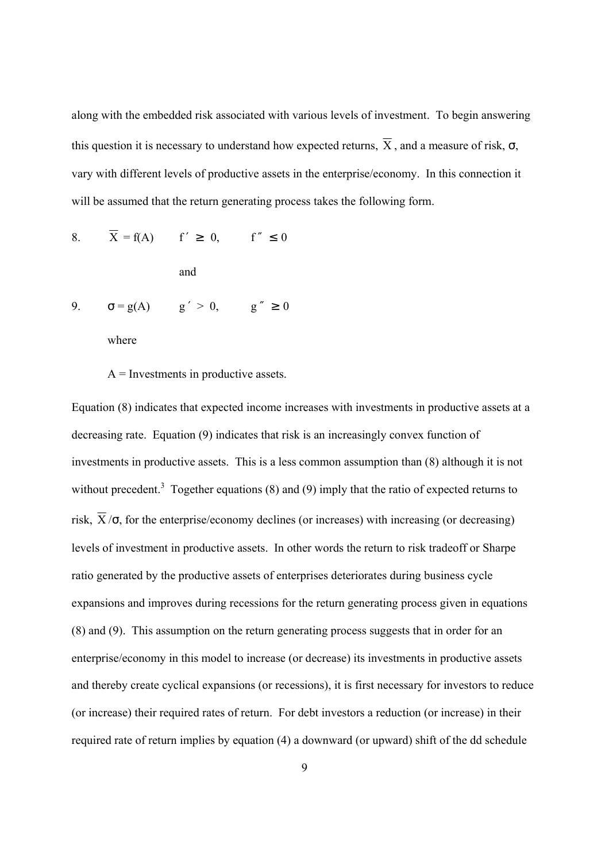along with the embedded risk associated with various levels of investment. To begin answering this question it is necessary to understand how expected returns,  $\overline{X}$ , and a measure of risk,  $\sigma$ , vary with different levels of productive assets in the enterprise/economy. In this connection it will be assumed that the return generating process takes the following form.

8.  $\overline{X} = f(A)$   $f' \ge 0$ ,  $f'' \le 0$  and 9.  $\sigma = g(A)$  g' > 0, g" ≥ 0

where

 $A =$  Investments in productive assets.

Equation (8) indicates that expected income increases with investments in productive assets at a decreasing rate. Equation (9) indicates that risk is an increasingly convex function of investments in productive assets. This is a less common assumption than (8) although it is not without precedent.<sup>3</sup> Together equations  $(8)$  and  $(9)$  imply that the ratio of expected returns to risk,  $\overline{X}/\sigma$ , for the enterprise/economy declines (or increases) with increasing (or decreasing) levels of investment in productive assets. In other words the return to risk tradeoff or Sharpe ratio generated by the productive assets of enterprises deteriorates during business cycle expansions and improves during recessions for the return generating process given in equations (8) and (9). This assumption on the return generating process suggests that in order for an enterprise/economy in this model to increase (or decrease) its investments in productive assets and thereby create cyclical expansions (or recessions), it is first necessary for investors to reduce (or increase) their required rates of return. For debt investors a reduction (or increase) in their required rate of return implies by equation (4) a downward (or upward) shift of the dd schedule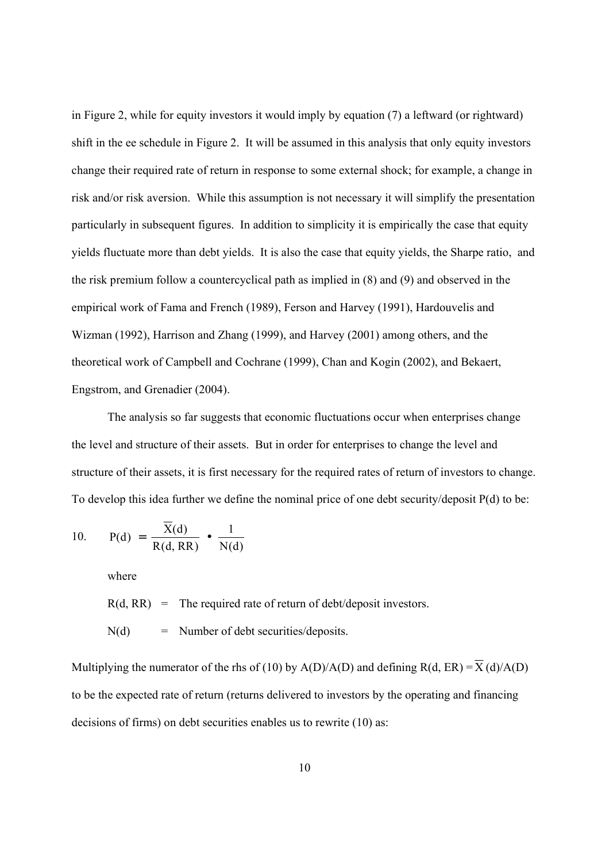in Figure 2, while for equity investors it would imply by equation (7) a leftward (or rightward) shift in the ee schedule in Figure 2. It will be assumed in this analysis that only equity investors change their required rate of return in response to some external shock; for example, a change in risk and/or risk aversion. While this assumption is not necessary it will simplify the presentation particularly in subsequent figures. In addition to simplicity it is empirically the case that equity yields fluctuate more than debt yields. It is also the case that equity yields, the Sharpe ratio, and the risk premium follow a countercyclical path as implied in (8) and (9) and observed in the empirical work of Fama and French (1989), Ferson and Harvey (1991), Hardouvelis and Wizman (1992), Harrison and Zhang (1999), and Harvey (2001) among others, and the theoretical work of Campbell and Cochrane (1999), Chan and Kogin (2002), and Bekaert, Engstrom, and Grenadier (2004).

 The analysis so far suggests that economic fluctuations occur when enterprises change the level and structure of their assets. But in order for enterprises to change the level and structure of their assets, it is first necessary for the required rates of return of investors to change. To develop this idea further we define the nominal price of one debt security/deposit P(d) to be:

10. 
$$
P(d) = \frac{X(d)}{R(d, RR)} \cdot \frac{1}{N(d)}
$$

where

 $R(d, RR)$  = The required rate of return of debt/deposit investors.

 $N(d)$  = Number of debt securities/deposits.

Multiplying the numerator of the rhs of (10) by A(D)/A(D) and defining R(d, ER) =  $\overline{X}$  (d)/A(D) to be the expected rate of return (returns delivered to investors by the operating and financing decisions of firms) on debt securities enables us to rewrite (10) as: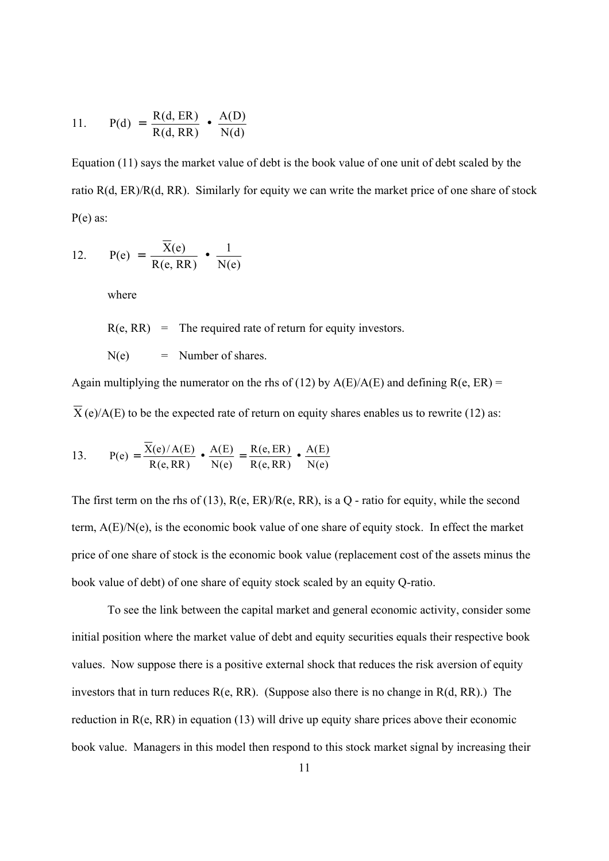11. 
$$
P(d) = \frac{R(d, ER)}{R(d, RR)} \cdot \frac{A(D)}{N(d)}
$$

Equation (11) says the market value of debt is the book value of one unit of debt scaled by the ratio R(d, ER)/R(d, RR). Similarly for equity we can write the market price of one share of stock P(e) as:

12. 
$$
P(e) = \frac{X(e)}{R(e, RR)} \cdot \frac{1}{N(e)}
$$

where

 $R(e, RR)$  = The required rate of return for equity investors.

 $N(e)$  = Number of shares.

Again multiplying the numerator on the rhs of (12) by  $A(E)/A(E)$  and defining  $R(e, ER)$  =  $\overline{X}$  (e)/A(E) to be the expected rate of return on equity shares enables us to rewrite (12) as:

13. 
$$
P(e) = \frac{X(e)/A(E)}{R(e,RR)} \cdot \frac{A(E)}{N(e)} = \frac{R(e, ER)}{R(e,RR)} \cdot \frac{A(E)}{N(e)}
$$

The first term on the rhs of (13),  $R(e, ER)/R(e, RR)$ , is a Q - ratio for equity, while the second term, A(E)/N(e), is the economic book value of one share of equity stock. In effect the market price of one share of stock is the economic book value (replacement cost of the assets minus the book value of debt) of one share of equity stock scaled by an equity Q-ratio.

 To see the link between the capital market and general economic activity, consider some initial position where the market value of debt and equity securities equals their respective book values. Now suppose there is a positive external shock that reduces the risk aversion of equity investors that in turn reduces  $R(e, RR)$ . (Suppose also there is no change in  $R(d, RR)$ .) The reduction in  $R(e, RR)$  in equation (13) will drive up equity share prices above their economic book value. Managers in this model then respond to this stock market signal by increasing their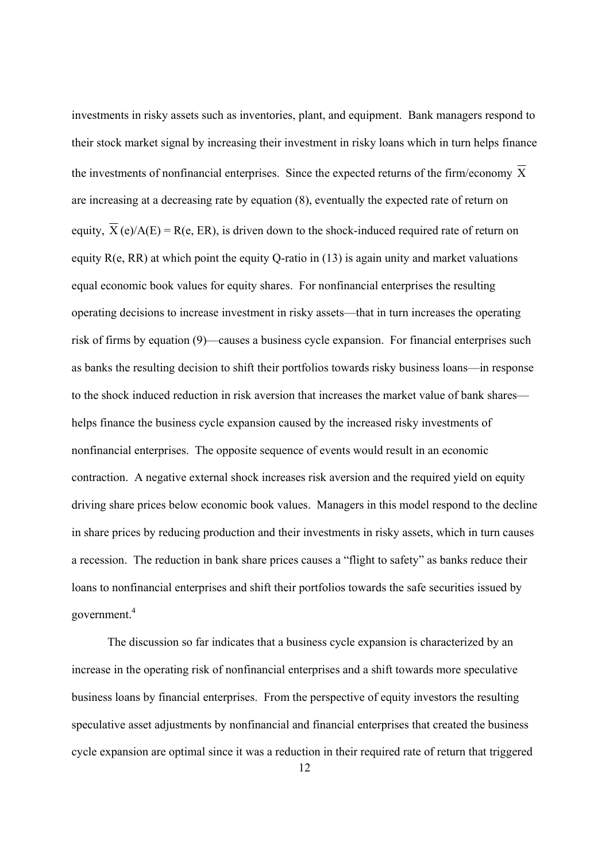investments in risky assets such as inventories, plant, and equipment. Bank managers respond to their stock market signal by increasing their investment in risky loans which in turn helps finance the investments of nonfinancial enterprises. Since the expected returns of the firm/economy  $\overline{X}$ are increasing at a decreasing rate by equation (8), eventually the expected rate of return on equity,  $\overline{X}$  (e)/A(E) = R(e, ER), is driven down to the shock-induced required rate of return on equity R(e, RR) at which point the equity Q-ratio in (13) is again unity and market valuations equal economic book values for equity shares. For nonfinancial enterprises the resulting operating decisions to increase investment in risky assets—that in turn increases the operating risk of firms by equation (9)—causes a business cycle expansion. For financial enterprises such as banks the resulting decision to shift their portfolios towards risky business loans—in response to the shock induced reduction in risk aversion that increases the market value of bank shares helps finance the business cycle expansion caused by the increased risky investments of nonfinancial enterprises. The opposite sequence of events would result in an economic contraction. A negative external shock increases risk aversion and the required yield on equity driving share prices below economic book values. Managers in this model respond to the decline in share prices by reducing production and their investments in risky assets, which in turn causes a recession. The reduction in bank share prices causes a "flight to safety" as banks reduce their loans to nonfinancial enterprises and shift their portfolios towards the safe securities issued by government.4

 The discussion so far indicates that a business cycle expansion is characterized by an increase in the operating risk of nonfinancial enterprises and a shift towards more speculative business loans by financial enterprises. From the perspective of equity investors the resulting speculative asset adjustments by nonfinancial and financial enterprises that created the business cycle expansion are optimal since it was a reduction in their required rate of return that triggered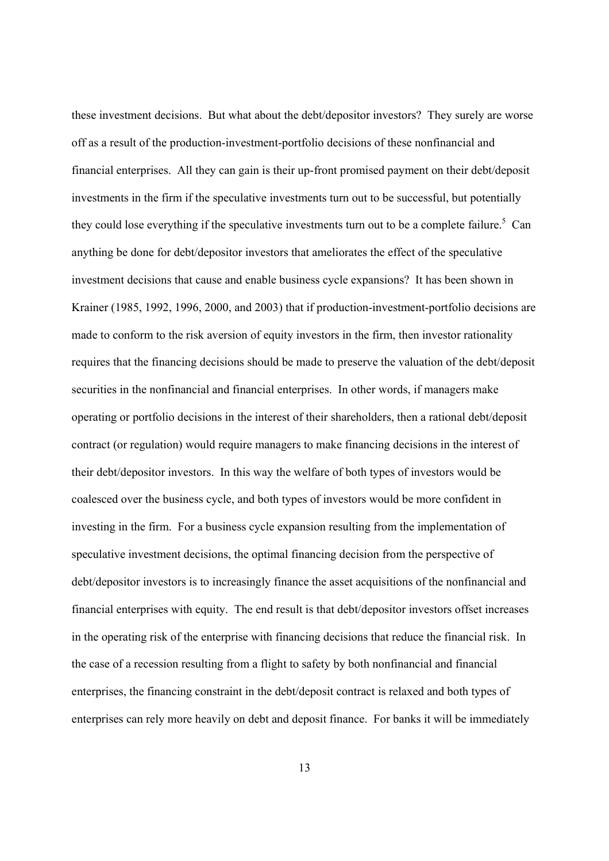these investment decisions. But what about the debt/depositor investors? They surely are worse off as a result of the production-investment-portfolio decisions of these nonfinancial and financial enterprises. All they can gain is their up-front promised payment on their debt/deposit investments in the firm if the speculative investments turn out to be successful, but potentially they could lose everything if the speculative investments turn out to be a complete failure.<sup>5</sup> Can anything be done for debt/depositor investors that ameliorates the effect of the speculative investment decisions that cause and enable business cycle expansions? It has been shown in Krainer (1985, 1992, 1996, 2000, and 2003) that if production-investment-portfolio decisions are made to conform to the risk aversion of equity investors in the firm, then investor rationality requires that the financing decisions should be made to preserve the valuation of the debt/deposit securities in the nonfinancial and financial enterprises. In other words, if managers make operating or portfolio decisions in the interest of their shareholders, then a rational debt/deposit contract (or regulation) would require managers to make financing decisions in the interest of their debt/depositor investors. In this way the welfare of both types of investors would be coalesced over the business cycle, and both types of investors would be more confident in investing in the firm. For a business cycle expansion resulting from the implementation of speculative investment decisions, the optimal financing decision from the perspective of debt/depositor investors is to increasingly finance the asset acquisitions of the nonfinancial and financial enterprises with equity. The end result is that debt/depositor investors offset increases in the operating risk of the enterprise with financing decisions that reduce the financial risk. In the case of a recession resulting from a flight to safety by both nonfinancial and financial enterprises, the financing constraint in the debt/deposit contract is relaxed and both types of enterprises can rely more heavily on debt and deposit finance. For banks it will be immediately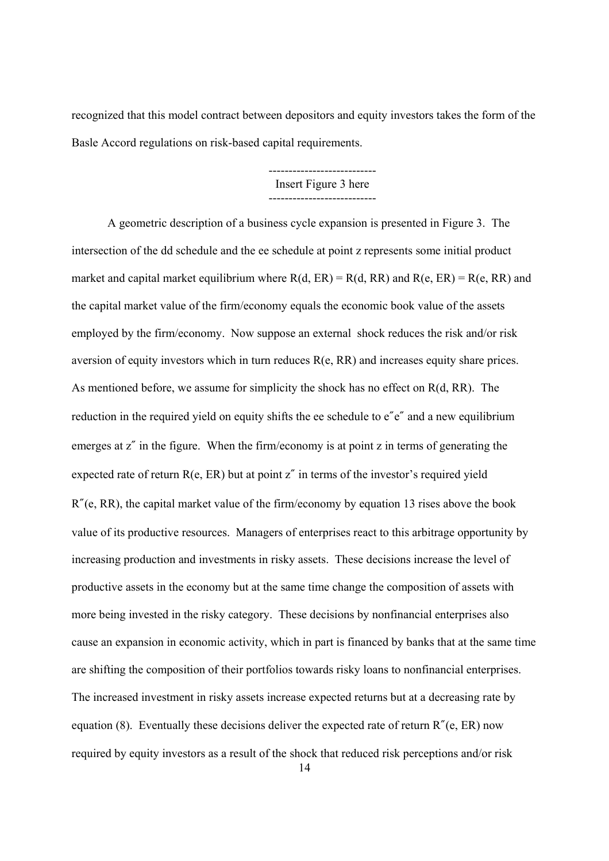recognized that this model contract between depositors and equity investors takes the form of the Basle Accord regulations on risk-based capital requirements.

> --------------------------- Insert Figure 3 here ---------------------------

 A geometric description of a business cycle expansion is presented in Figure 3. The intersection of the dd schedule and the ee schedule at point z represents some initial product market and capital market equilibrium where  $R(d, ER) = R(d, RR)$  and  $R(e, ER) = R(e, RR)$  and the capital market value of the firm/economy equals the economic book value of the assets employed by the firm/economy. Now suppose an external shock reduces the risk and/or risk aversion of equity investors which in turn reduces R(e, RR) and increases equity share prices. As mentioned before, we assume for simplicity the shock has no effect on  $R(d, RR)$ . The reduction in the required yield on equity shifts the ee schedule to e″e″ and a new equilibrium emerges at z″ in the figure. When the firm/economy is at point z in terms of generating the expected rate of return R(e, ER) but at point z″ in terms of the investor's required yield R″(e, RR), the capital market value of the firm/economy by equation 13 rises above the book value of its productive resources. Managers of enterprises react to this arbitrage opportunity by increasing production and investments in risky assets. These decisions increase the level of productive assets in the economy but at the same time change the composition of assets with more being invested in the risky category. These decisions by nonfinancial enterprises also cause an expansion in economic activity, which in part is financed by banks that at the same time are shifting the composition of their portfolios towards risky loans to nonfinancial enterprises. The increased investment in risky assets increase expected returns but at a decreasing rate by equation (8). Eventually these decisions deliver the expected rate of return R″(e, ER) now required by equity investors as a result of the shock that reduced risk perceptions and/or risk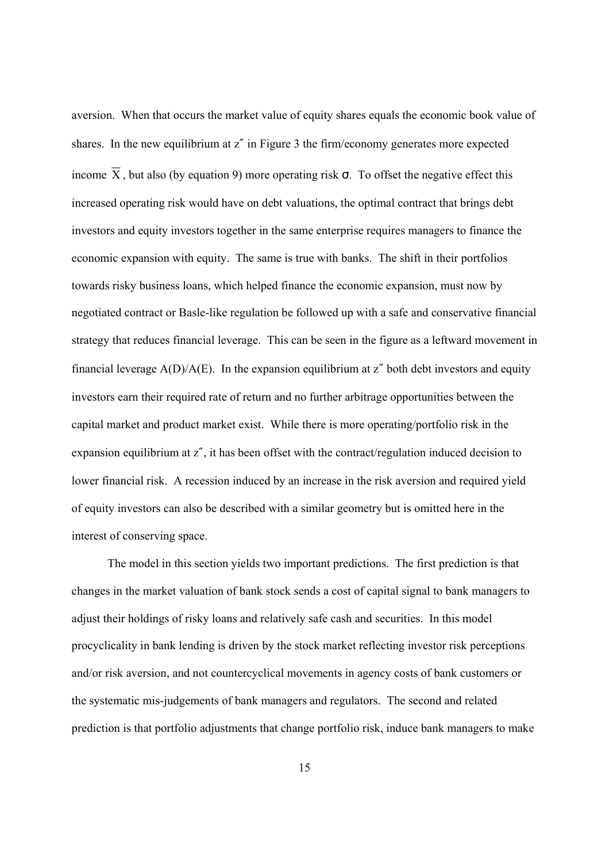aversion. When that occurs the market value of equity shares equals the economic book value of shares. In the new equilibrium at z″ in Figure 3 the firm/economy generates more expected income  $\overline{X}$ , but also (by equation 9) more operating risk  $\sigma$ . To offset the negative effect this increased operating risk would have on debt valuations, the optimal contract that brings debt investors and equity investors together in the same enterprise requires managers to finance the economic expansion with equity. The same is true with banks. The shift in their portfolios towards risky business loans, which helped finance the economic expansion, must now by negotiated contract or Basle-like regulation be followed up with a safe and conservative financial strategy that reduces financial leverage. This can be seen in the figure as a leftward movement in financial leverage  $A(D)/A(E)$ . In the expansion equilibrium at z" both debt investors and equity investors earn their required rate of return and no further arbitrage opportunities between the capital market and product market exist. While there is more operating/portfolio risk in the expansion equilibrium at z″, it has been offset with the contract/regulation induced decision to lower financial risk. A recession induced by an increase in the risk aversion and required yield of equity investors can also be described with a similar geometry but is omitted here in the interest of conserving space.

 The model in this section yields two important predictions. The first prediction is that changes in the market valuation of bank stock sends a cost of capital signal to bank managers to adjust their holdings of risky loans and relatively safe cash and securities. In this model procyclicality in bank lending is driven by the stock market reflecting investor risk perceptions and/or risk aversion, and not countercyclical movements in agency costs of bank customers or the systematic mis-judgements of bank managers and regulators. The second and related prediction is that portfolio adjustments that change portfolio risk, induce bank managers to make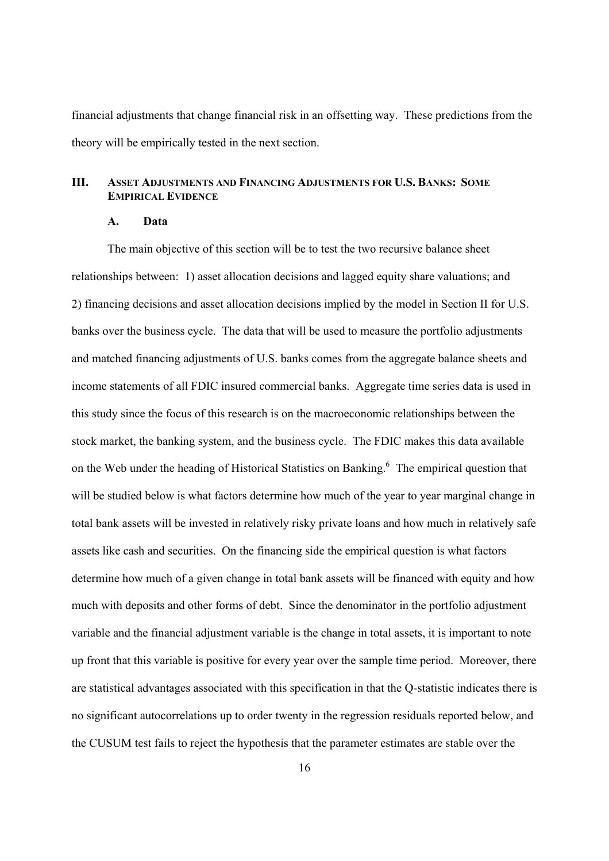financial adjustments that change financial risk in an offsetting way. These predictions from the theory will be empirically tested in the next section.

# **III. ASSET ADJUSTMENTS AND FINANCING ADJUSTMENTS FOR U.S. BANKS: SOME EMPIRICAL EVIDENCE**

### **A. Data**

The main objective of this section will be to test the two recursive balance sheet relationships between: 1) asset allocation decisions and lagged equity share valuations; and 2) financing decisions and asset allocation decisions implied by the model in Section II for U.S. banks over the business cycle. The data that will be used to measure the portfolio adjustments and matched financing adjustments of U.S. banks comes from the aggregate balance sheets and income statements of all FDIC insured commercial banks. Aggregate time series data is used in this study since the focus of this research is on the macroeconomic relationships between the stock market, the banking system, and the business cycle. The FDIC makes this data available on the Web under the heading of Historical Statistics on Banking.<sup>6</sup> The empirical question that will be studied below is what factors determine how much of the year to year marginal change in total bank assets will be invested in relatively risky private loans and how much in relatively safe assets like cash and securities. On the financing side the empirical question is what factors determine how much of a given change in total bank assets will be financed with equity and how much with deposits and other forms of debt. Since the denominator in the portfolio adjustment variable and the financial adjustment variable is the change in total assets, it is important to note up front that this variable is positive for every year over the sample time period. Moreover, there are statistical advantages associated with this specification in that the Q-statistic indicates there is no significant autocorrelations up to order twenty in the regression residuals reported below, and the CUSUM test fails to reject the hypothesis that the parameter estimates are stable over the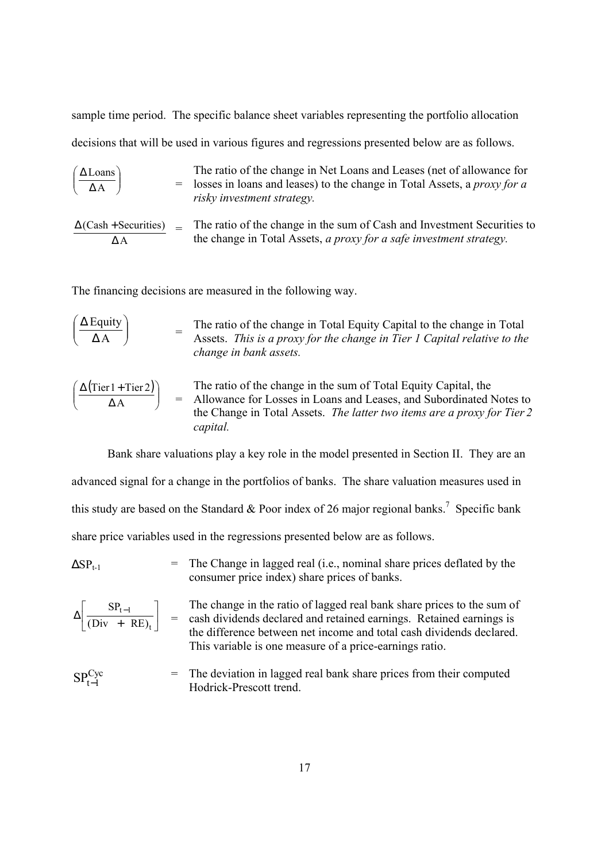sample time period. The specific balance sheet variables representing the portfolio allocation decisions that will be used in various figures and regressions presented below are as follows.

$$
\left(\frac{\Delta \text{Loans}}{\Delta A}\right) \qquad \qquad \text{The ratio of the change in Net Loans and Leases (net of allowance for losses in loans and leaves) to the change in Total Assets, a proxy for a risky investment strategy.}
$$

$$
\frac{\Delta(Cash + Securities)}{\Delta A} = \text{The ratio of the change in the sum of Cash and Investment Securities to the change in Total Assets, a proxy for a safe investment strategy.}
$$

The financing decisions are measured in the following way.

$$
\left(\frac{\Delta \text{ Equity}}{\Delta A}\right) \qquad \qquad = \qquad \text{The ratio of the change in Total Equity Capital to the change in Total} \\ \text{Assets. This is a proxy for the change in Tier 1 Capital relative to the} \\ \text{change in bank assets.}
$$

$$
\left(\frac{\Delta(\text{Tier 1+Tier 2})}{\Delta A}\right) = \text{ The ratio of the change in the sum of Total Equity Capital, the} \text{Allowance for Losses in Loans and Leases, and Subordinated Notes to the Change in Total Assets. The latter two items are a proxy for Tier 2 capital.}
$$

 Bank share valuations play a key role in the model presented in Section II. They are an advanced signal for a change in the portfolios of banks. The share valuation measures used in this study are based on the Standard & Poor index of 26 major regional banks.<sup>7</sup> Specific bank share price variables used in the regressions presented below are as follows.

$$
\Delta SP_{t-1} = \text{The Change in lagged real (i.e., nominal share prices defined by the consumer price index) share prices of banks.}
$$

$$
\Delta \left[ \frac{SP_{t-1}}{(Div + RE)_t} \right] = \frac{The change in the ratio of lagged real bank share prices to the sum of cash dividends declared and retained earnings. Retained earnings is the difference between net income and total cash dividends declared. This variable is one measure of a price-earnings ratio.
$$

$$
SP_{t-1}^{Cyc}
$$
 = The deviation in lagged real bank share prices from their computed  
Hodrick-Present trend.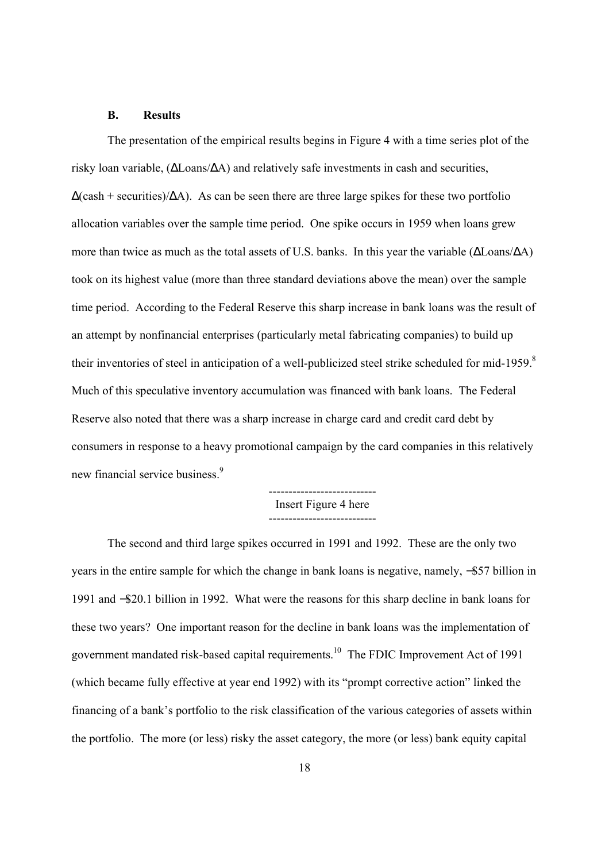#### **B. Results**

The presentation of the empirical results begins in Figure 4 with a time series plot of the risky loan variable, (∆Loans/∆A) and relatively safe investments in cash and securities,  $\Delta$ (cash + securities)/ $\Delta$ A). As can be seen there are three large spikes for these two portfolio allocation variables over the sample time period. One spike occurs in 1959 when loans grew more than twice as much as the total assets of U.S. banks. In this year the variable (∆Loans/∆A) took on its highest value (more than three standard deviations above the mean) over the sample time period. According to the Federal Reserve this sharp increase in bank loans was the result of an attempt by nonfinancial enterprises (particularly metal fabricating companies) to build up their inventories of steel in anticipation of a well-publicized steel strike scheduled for mid-1959.<sup>8</sup> Much of this speculative inventory accumulation was financed with bank loans. The Federal Reserve also noted that there was a sharp increase in charge card and credit card debt by consumers in response to a heavy promotional campaign by the card companies in this relatively new financial service business.<sup>9</sup>

# --------------------------- Insert Figure 4 here ---------------------------

The second and third large spikes occurred in 1991 and 1992. These are the only two years in the entire sample for which the change in bank loans is negative, namely, −\$57 billion in 1991 and −\$20.1 billion in 1992. What were the reasons for this sharp decline in bank loans for these two years? One important reason for the decline in bank loans was the implementation of government mandated risk-based capital requirements.10 The FDIC Improvement Act of 1991 (which became fully effective at year end 1992) with its "prompt corrective action" linked the financing of a bank's portfolio to the risk classification of the various categories of assets within the portfolio. The more (or less) risky the asset category, the more (or less) bank equity capital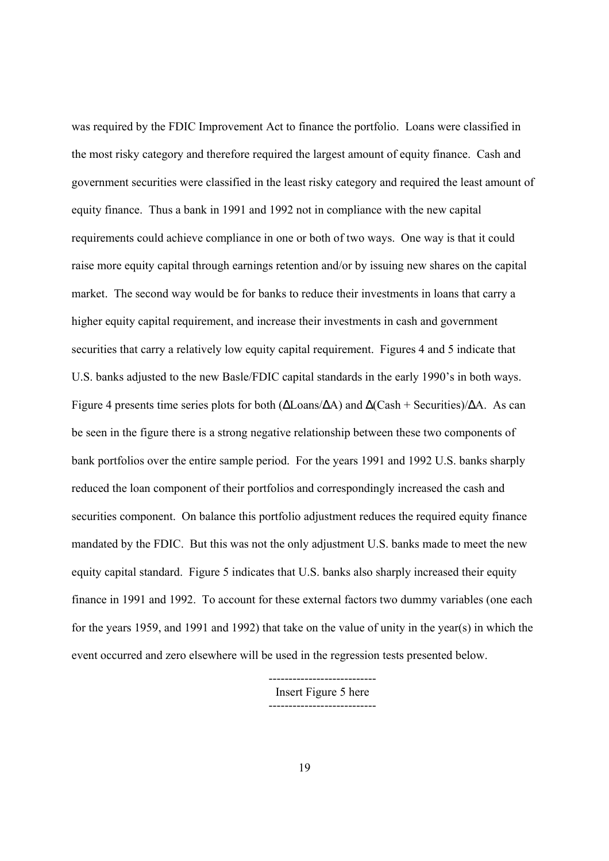was required by the FDIC Improvement Act to finance the portfolio. Loans were classified in the most risky category and therefore required the largest amount of equity finance. Cash and government securities were classified in the least risky category and required the least amount of equity finance. Thus a bank in 1991 and 1992 not in compliance with the new capital requirements could achieve compliance in one or both of two ways. One way is that it could raise more equity capital through earnings retention and/or by issuing new shares on the capital market. The second way would be for banks to reduce their investments in loans that carry a higher equity capital requirement, and increase their investments in cash and government securities that carry a relatively low equity capital requirement. Figures 4 and 5 indicate that U.S. banks adjusted to the new Basle/FDIC capital standards in the early 1990's in both ways. Figure 4 presents time series plots for both (∆Loans/∆A) and ∆(Cash + Securities)/∆A. As can be seen in the figure there is a strong negative relationship between these two components of bank portfolios over the entire sample period. For the years 1991 and 1992 U.S. banks sharply reduced the loan component of their portfolios and correspondingly increased the cash and securities component. On balance this portfolio adjustment reduces the required equity finance mandated by the FDIC. But this was not the only adjustment U.S. banks made to meet the new equity capital standard. Figure 5 indicates that U.S. banks also sharply increased their equity finance in 1991 and 1992. To account for these external factors two dummy variables (one each for the years 1959, and 1991 and 1992) that take on the value of unity in the year(s) in which the event occurred and zero elsewhere will be used in the regression tests presented below.

> --------------------------- Insert Figure 5 here ---------------------------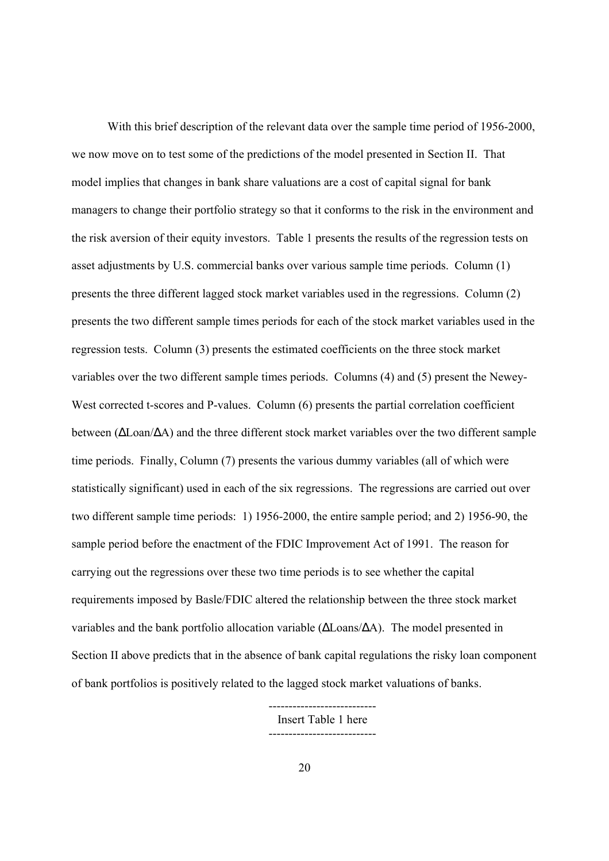With this brief description of the relevant data over the sample time period of 1956-2000, we now move on to test some of the predictions of the model presented in Section II. That model implies that changes in bank share valuations are a cost of capital signal for bank managers to change their portfolio strategy so that it conforms to the risk in the environment and the risk aversion of their equity investors. Table 1 presents the results of the regression tests on asset adjustments by U.S. commercial banks over various sample time periods. Column (1) presents the three different lagged stock market variables used in the regressions. Column (2) presents the two different sample times periods for each of the stock market variables used in the regression tests. Column (3) presents the estimated coefficients on the three stock market variables over the two different sample times periods. Columns (4) and (5) present the Newey-West corrected t-scores and P-values. Column (6) presents the partial correlation coefficient between (∆Loan/∆A) and the three different stock market variables over the two different sample time periods. Finally, Column (7) presents the various dummy variables (all of which were statistically significant) used in each of the six regressions. The regressions are carried out over two different sample time periods: 1) 1956-2000, the entire sample period; and 2) 1956-90, the sample period before the enactment of the FDIC Improvement Act of 1991. The reason for carrying out the regressions over these two time periods is to see whether the capital requirements imposed by Basle/FDIC altered the relationship between the three stock market variables and the bank portfolio allocation variable (∆Loans/∆A). The model presented in Section II above predicts that in the absence of bank capital regulations the risky loan component of bank portfolios is positively related to the lagged stock market valuations of banks.

> --------------------------- Insert Table 1 here ---------------------------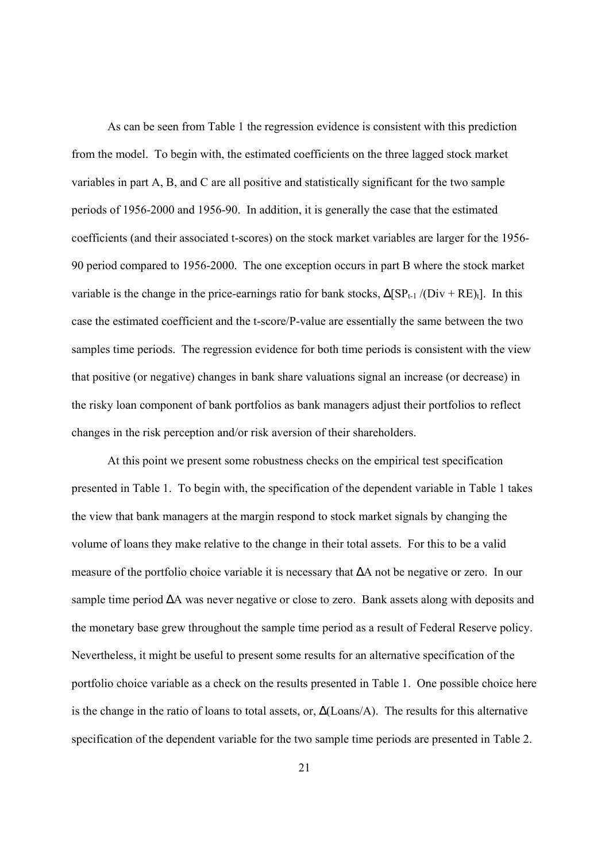As can be seen from Table 1 the regression evidence is consistent with this prediction from the model. To begin with, the estimated coefficients on the three lagged stock market variables in part A, B, and C are all positive and statistically significant for the two sample periods of 1956-2000 and 1956-90. In addition, it is generally the case that the estimated coefficients (and their associated t-scores) on the stock market variables are larger for the 1956- 90 period compared to 1956-2000. The one exception occurs in part B where the stock market variable is the change in the price-earnings ratio for bank stocks,  $\Delta[\text{SP}_{t-1}/(\text{Div} + \text{RE})_t]$ . In this case the estimated coefficient and the t-score/P-value are essentially the same between the two samples time periods. The regression evidence for both time periods is consistent with the view that positive (or negative) changes in bank share valuations signal an increase (or decrease) in the risky loan component of bank portfolios as bank managers adjust their portfolios to reflect changes in the risk perception and/or risk aversion of their shareholders.

At this point we present some robustness checks on the empirical test specification presented in Table 1. To begin with, the specification of the dependent variable in Table 1 takes the view that bank managers at the margin respond to stock market signals by changing the volume of loans they make relative to the change in their total assets. For this to be a valid measure of the portfolio choice variable it is necessary that ∆A not be negative or zero. In our sample time period ∆A was never negative or close to zero. Bank assets along with deposits and the monetary base grew throughout the sample time period as a result of Federal Reserve policy. Nevertheless, it might be useful to present some results for an alternative specification of the portfolio choice variable as a check on the results presented in Table 1. One possible choice here is the change in the ratio of loans to total assets, or, ∆(Loans/A). The results for this alternative specification of the dependent variable for the two sample time periods are presented in Table 2.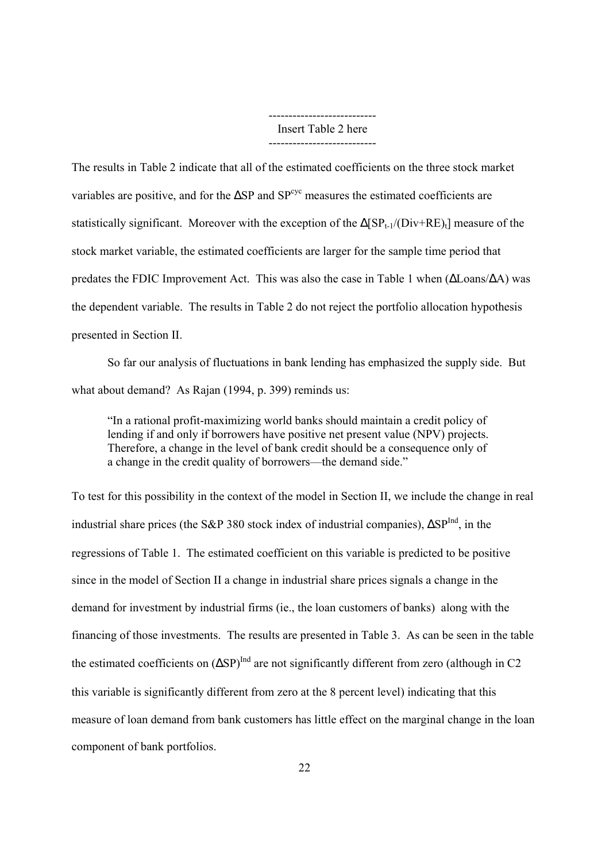--------------------------- Insert Table 2 here ---------------------------

The results in Table 2 indicate that all of the estimated coefficients on the three stock market variables are positive, and for the ∆SP and SP<sup>cyc</sup> measures the estimated coefficients are statistically significant. Moreover with the exception of the  $\Delta[\text{SP}_{t-1}/(\text{Div}+\text{RE})_t]$  measure of the stock market variable, the estimated coefficients are larger for the sample time period that predates the FDIC Improvement Act. This was also the case in Table 1 when (∆Loans/∆A) was the dependent variable. The results in Table 2 do not reject the portfolio allocation hypothesis presented in Section II.

So far our analysis of fluctuations in bank lending has emphasized the supply side. But what about demand? As Rajan (1994, p. 399) reminds us:

"In a rational profit-maximizing world banks should maintain a credit policy of lending if and only if borrowers have positive net present value (NPV) projects. Therefore, a change in the level of bank credit should be a consequence only of a change in the credit quality of borrowers—the demand side."

To test for this possibility in the context of the model in Section II, we include the change in real industrial share prices (the S&P 380 stock index of industrial companies). ∆SP<sup>Ind</sup>, in the regressions of Table 1. The estimated coefficient on this variable is predicted to be positive since in the model of Section II a change in industrial share prices signals a change in the demand for investment by industrial firms (ie., the loan customers of banks) along with the financing of those investments. The results are presented in Table 3. As can be seen in the table the estimated coefficients on  $(ΔSP)$ <sup>Ind</sup> are not significantly different from zero (although in C2 this variable is significantly different from zero at the 8 percent level) indicating that this measure of loan demand from bank customers has little effect on the marginal change in the loan component of bank portfolios.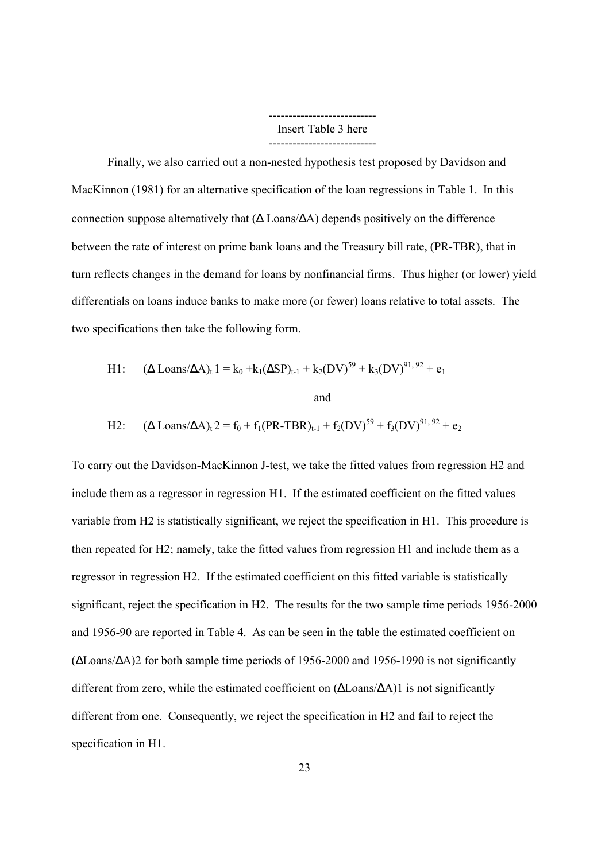--------------------------- Insert Table 3 here ---------------------------

Finally, we also carried out a non-nested hypothesis test proposed by Davidson and MacKinnon (1981) for an alternative specification of the loan regressions in Table 1. In this connection suppose alternatively that (∆ Loans/∆A) depends positively on the difference between the rate of interest on prime bank loans and the Treasury bill rate, (PR-TBR), that in turn reflects changes in the demand for loans by nonfinancial firms. Thus higher (or lower) yield differentials on loans induce banks to make more (or fewer) loans relative to total assets. The two specifications then take the following form.

H1: 
$$
(\Delta \text{ Loans}/\Delta A)_t 1 = k_0 + k_1(\Delta SP)_{t-1} + k_2(DV)^{59} + k_3(DV)^{91,92} + e_1
$$
  
and  
H2: 
$$
(\Delta \text{Loans}/\Delta A)_t 2 = f_0 + f_1(PR\text{-}TRR)_{t-1} + f_2(DV)^{59} + f_3(DV)^{91,92} + e_2
$$

To carry out the Davidson-MacKinnon J-test, we take the fitted values from regression H2 and include them as a regressor in regression H1. If the estimated coefficient on the fitted values variable from H2 is statistically significant, we reject the specification in H1. This procedure is then repeated for H2; namely, take the fitted values from regression H1 and include them as a regressor in regression H2. If the estimated coefficient on this fitted variable is statistically significant, reject the specification in H2. The results for the two sample time periods 1956-2000 and 1956-90 are reported in Table 4. As can be seen in the table the estimated coefficient on (∆Loans/∆A)2 for both sample time periods of 1956-2000 and 1956-1990 is not significantly different from zero, while the estimated coefficient on (∆Loans/∆A)1 is not significantly different from one. Consequently, we reject the specification in H2 and fail to reject the specification in H1.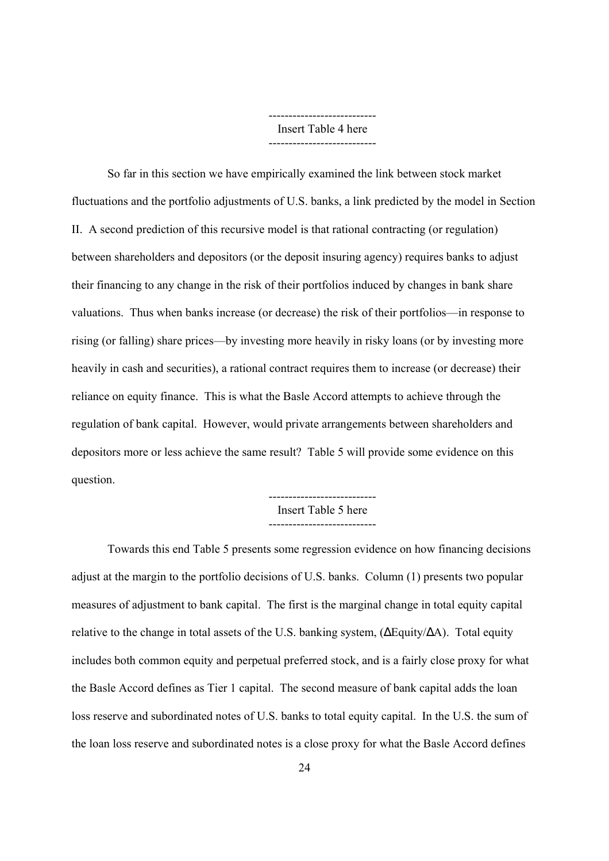--------------------------- Insert Table 4 here

So far in this section we have empirically examined the link between stock market fluctuations and the portfolio adjustments of U.S. banks, a link predicted by the model in Section II. A second prediction of this recursive model is that rational contracting (or regulation) between shareholders and depositors (or the deposit insuring agency) requires banks to adjust their financing to any change in the risk of their portfolios induced by changes in bank share valuations. Thus when banks increase (or decrease) the risk of their portfolios—in response to rising (or falling) share prices—by investing more heavily in risky loans (or by investing more heavily in cash and securities), a rational contract requires them to increase (or decrease) their reliance on equity finance. This is what the Basle Accord attempts to achieve through the regulation of bank capital. However, would private arrangements between shareholders and depositors more or less achieve the same result? Table 5 will provide some evidence on this question.

> --------------------------- Insert Table 5 here ---------------------------

Towards this end Table 5 presents some regression evidence on how financing decisions adjust at the margin to the portfolio decisions of U.S. banks. Column (1) presents two popular measures of adjustment to bank capital. The first is the marginal change in total equity capital relative to the change in total assets of the U.S. banking system, (∆Equity/∆A). Total equity includes both common equity and perpetual preferred stock, and is a fairly close proxy for what the Basle Accord defines as Tier 1 capital. The second measure of bank capital adds the loan loss reserve and subordinated notes of U.S. banks to total equity capital. In the U.S. the sum of the loan loss reserve and subordinated notes is a close proxy for what the Basle Accord defines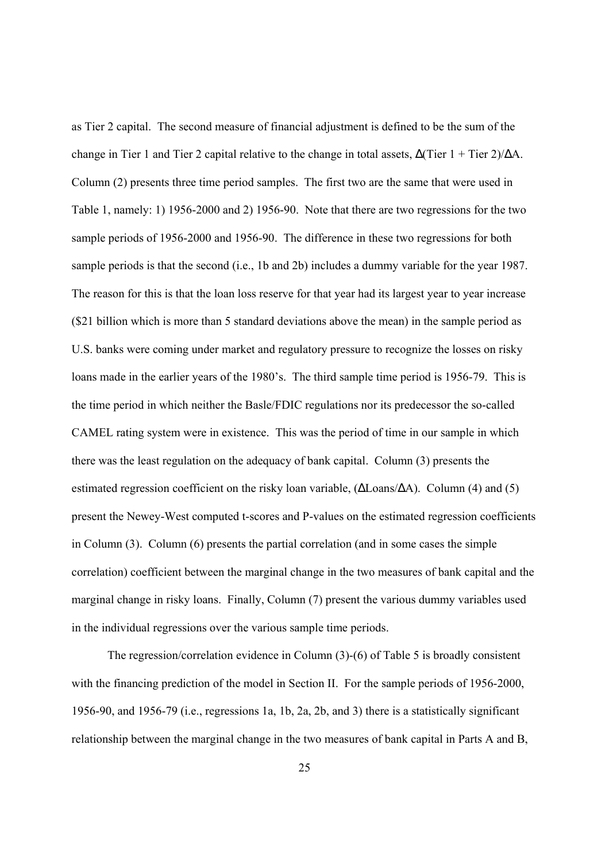as Tier 2 capital. The second measure of financial adjustment is defined to be the sum of the change in Tier 1 and Tier 2 capital relative to the change in total assets,  $\Delta(Tier 1 + Tier 2)/\Delta A$ . Column (2) presents three time period samples. The first two are the same that were used in Table 1, namely: 1) 1956-2000 and 2) 1956-90. Note that there are two regressions for the two sample periods of 1956-2000 and 1956-90. The difference in these two regressions for both sample periods is that the second (i.e., 1b and 2b) includes a dummy variable for the year 1987. The reason for this is that the loan loss reserve for that year had its largest year to year increase (\$21 billion which is more than 5 standard deviations above the mean) in the sample period as U.S. banks were coming under market and regulatory pressure to recognize the losses on risky loans made in the earlier years of the 1980's. The third sample time period is 1956-79. This is the time period in which neither the Basle/FDIC regulations nor its predecessor the so-called CAMEL rating system were in existence. This was the period of time in our sample in which there was the least regulation on the adequacy of bank capital. Column (3) presents the estimated regression coefficient on the risky loan variable, (∆Loans/∆A). Column (4) and (5) present the Newey-West computed t-scores and P-values on the estimated regression coefficients in Column (3). Column (6) presents the partial correlation (and in some cases the simple correlation) coefficient between the marginal change in the two measures of bank capital and the marginal change in risky loans. Finally, Column (7) present the various dummy variables used in the individual regressions over the various sample time periods.

The regression/correlation evidence in Column (3)-(6) of Table 5 is broadly consistent with the financing prediction of the model in Section II. For the sample periods of 1956-2000, 1956-90, and 1956-79 (i.e., regressions 1a, 1b, 2a, 2b, and 3) there is a statistically significant relationship between the marginal change in the two measures of bank capital in Parts A and B,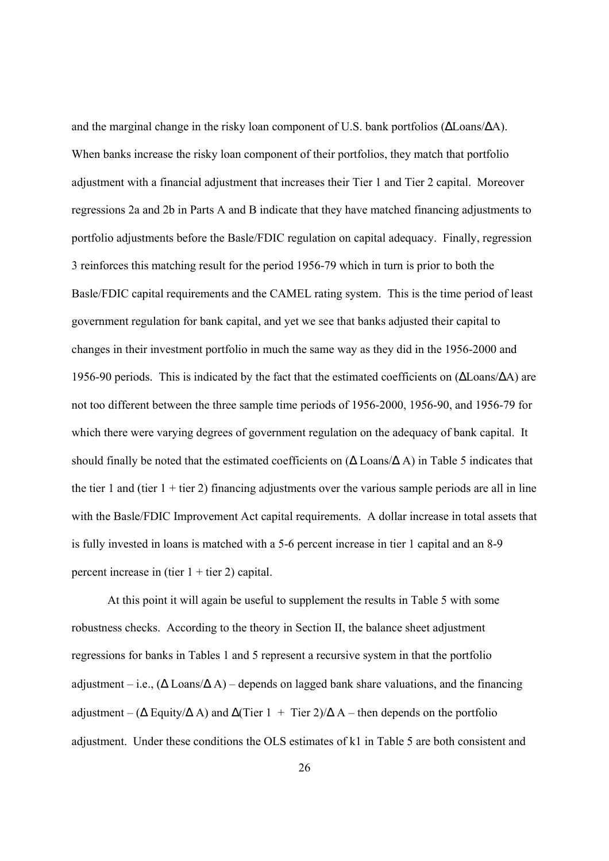and the marginal change in the risky loan component of U.S. bank portfolios (∆Loans/∆A). When banks increase the risky loan component of their portfolios, they match that portfolio adjustment with a financial adjustment that increases their Tier 1 and Tier 2 capital. Moreover regressions 2a and 2b in Parts A and B indicate that they have matched financing adjustments to portfolio adjustments before the Basle/FDIC regulation on capital adequacy. Finally, regression 3 reinforces this matching result for the period 1956-79 which in turn is prior to both the Basle/FDIC capital requirements and the CAMEL rating system. This is the time period of least government regulation for bank capital, and yet we see that banks adjusted their capital to changes in their investment portfolio in much the same way as they did in the 1956-2000 and 1956-90 periods. This is indicated by the fact that the estimated coefficients on (∆Loans/∆A) are not too different between the three sample time periods of 1956-2000, 1956-90, and 1956-79 for which there were varying degrees of government regulation on the adequacy of bank capital. It should finally be noted that the estimated coefficients on  $(\Delta$  Loans/ $\Delta$  A) in Table 5 indicates that the tier 1 and (tier  $1 +$  tier 2) financing adjustments over the various sample periods are all in line with the Basle/FDIC Improvement Act capital requirements. A dollar increase in total assets that is fully invested in loans is matched with a 5-6 percent increase in tier 1 capital and an 8-9 percent increase in (tier  $1 +$  tier 2) capital.

At this point it will again be useful to supplement the results in Table 5 with some robustness checks. According to the theory in Section II, the balance sheet adjustment regressions for banks in Tables 1 and 5 represent a recursive system in that the portfolio adjustment – i.e.,  $(\Delta$  Loans/ $\Delta$  A) – depends on lagged bank share valuations, and the financing adjustment – ( $\Delta$  Equity/ $\Delta$  A) and  $\Delta$ (Tier 1 + Tier 2)/ $\Delta$  A – then depends on the portfolio adjustment. Under these conditions the OLS estimates of k1 in Table 5 are both consistent and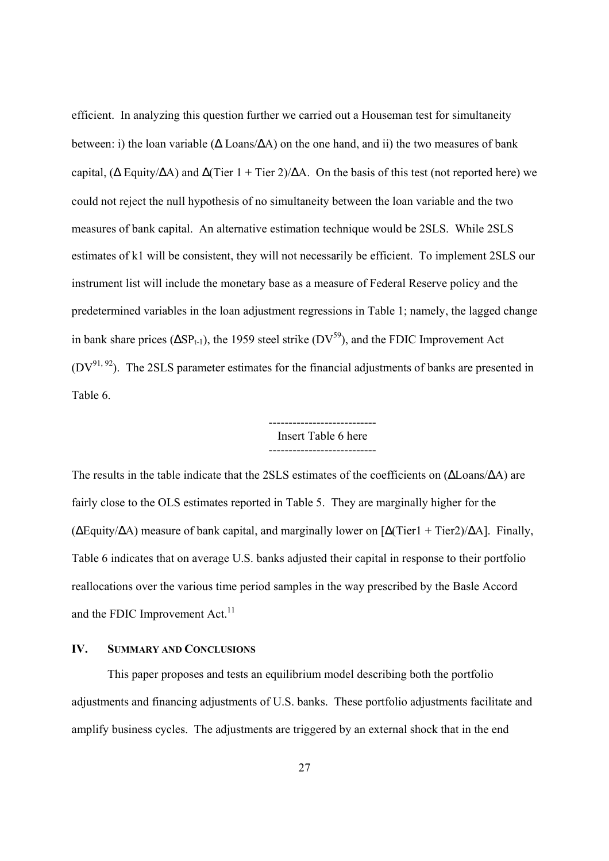efficient. In analyzing this question further we carried out a Houseman test for simultaneity between: i) the loan variable (∆ Loans/∆A) on the one hand, and ii) the two measures of bank capital, (∆ Equity/∆A) and ∆(Tier 1 + Tier 2)/∆A. On the basis of this test (not reported here) we could not reject the null hypothesis of no simultaneity between the loan variable and the two measures of bank capital. An alternative estimation technique would be 2SLS. While 2SLS estimates of k1 will be consistent, they will not necessarily be efficient. To implement 2SLS our instrument list will include the monetary base as a measure of Federal Reserve policy and the predetermined variables in the loan adjustment regressions in Table 1; namely, the lagged change in bank share prices ( $\Delta SP_{t-1}$ ), the 1959 steel strike (DV<sup>59</sup>), and the FDIC Improvement Act  $(DV<sup>91, 92</sup>)$ . The 2SLS parameter estimates for the financial adjustments of banks are presented in Table 6.

> --------------------------- Insert Table 6 here

The results in the table indicate that the 2SLS estimates of the coefficients on (∆Loans/∆A) are fairly close to the OLS estimates reported in Table 5. They are marginally higher for the (∆Equity/∆A) measure of bank capital, and marginally lower on [∆(Tier1 + Tier2)/∆A]. Finally, Table 6 indicates that on average U.S. banks adjusted their capital in response to their portfolio reallocations over the various time period samples in the way prescribed by the Basle Accord and the FDIC Improvement Act.<sup>11</sup>

# **IV. SUMMARY AND CONCLUSIONS**

This paper proposes and tests an equilibrium model describing both the portfolio adjustments and financing adjustments of U.S. banks. These portfolio adjustments facilitate and amplify business cycles. The adjustments are triggered by an external shock that in the end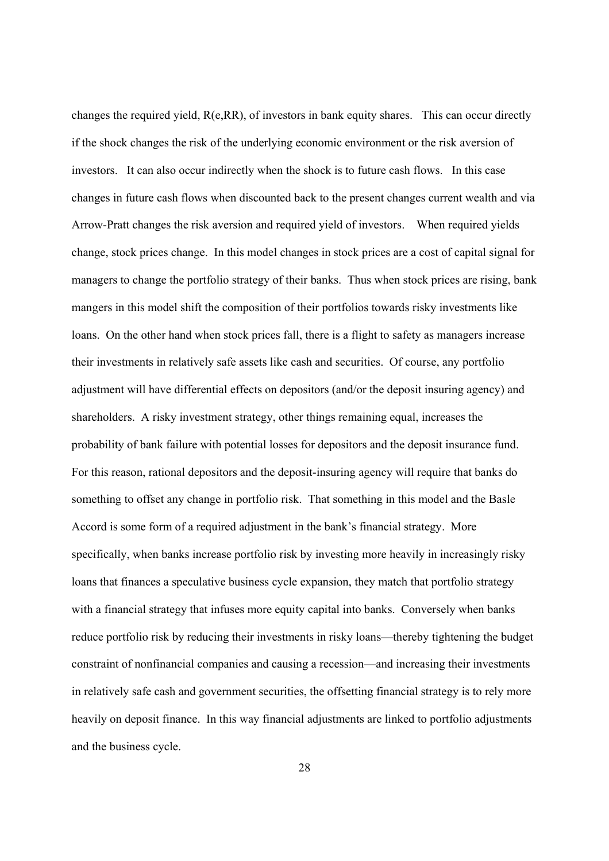changes the required yield, R(e,RR), of investors in bank equity shares. This can occur directly if the shock changes the risk of the underlying economic environment or the risk aversion of investors. It can also occur indirectly when the shock is to future cash flows. In this case changes in future cash flows when discounted back to the present changes current wealth and via Arrow-Pratt changes the risk aversion and required yield of investors. When required yields change, stock prices change. In this model changes in stock prices are a cost of capital signal for managers to change the portfolio strategy of their banks. Thus when stock prices are rising, bank mangers in this model shift the composition of their portfolios towards risky investments like loans. On the other hand when stock prices fall, there is a flight to safety as managers increase their investments in relatively safe assets like cash and securities. Of course, any portfolio adjustment will have differential effects on depositors (and/or the deposit insuring agency) and shareholders. A risky investment strategy, other things remaining equal, increases the probability of bank failure with potential losses for depositors and the deposit insurance fund. For this reason, rational depositors and the deposit-insuring agency will require that banks do something to offset any change in portfolio risk. That something in this model and the Basle Accord is some form of a required adjustment in the bank's financial strategy. More specifically, when banks increase portfolio risk by investing more heavily in increasingly risky loans that finances a speculative business cycle expansion, they match that portfolio strategy with a financial strategy that infuses more equity capital into banks. Conversely when banks reduce portfolio risk by reducing their investments in risky loans—thereby tightening the budget constraint of nonfinancial companies and causing a recession—and increasing their investments in relatively safe cash and government securities, the offsetting financial strategy is to rely more heavily on deposit finance. In this way financial adjustments are linked to portfolio adjustments and the business cycle.

28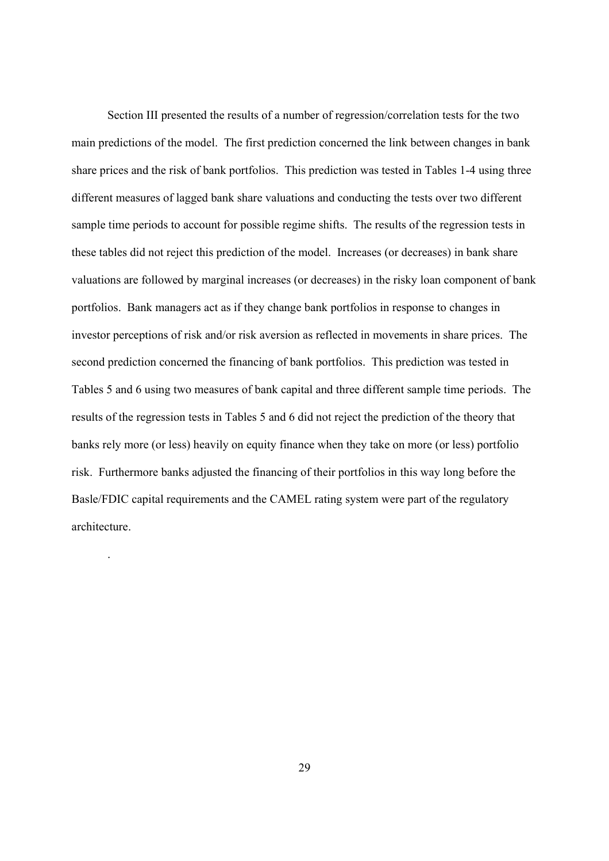Section III presented the results of a number of regression/correlation tests for the two main predictions of the model. The first prediction concerned the link between changes in bank share prices and the risk of bank portfolios. This prediction was tested in Tables 1-4 using three different measures of lagged bank share valuations and conducting the tests over two different sample time periods to account for possible regime shifts. The results of the regression tests in these tables did not reject this prediction of the model. Increases (or decreases) in bank share valuations are followed by marginal increases (or decreases) in the risky loan component of bank portfolios. Bank managers act as if they change bank portfolios in response to changes in investor perceptions of risk and/or risk aversion as reflected in movements in share prices. The second prediction concerned the financing of bank portfolios. This prediction was tested in Tables 5 and 6 using two measures of bank capital and three different sample time periods. The results of the regression tests in Tables 5 and 6 did not reject the prediction of the theory that banks rely more (or less) heavily on equity finance when they take on more (or less) portfolio risk. Furthermore banks adjusted the financing of their portfolios in this way long before the Basle/FDIC capital requirements and the CAMEL rating system were part of the regulatory architecture.

.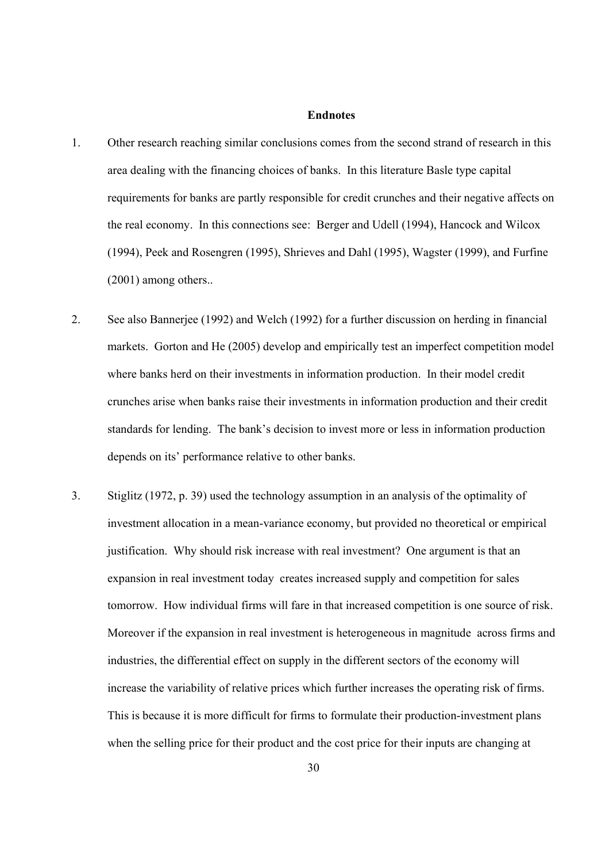#### **Endnotes**

- 1. Other research reaching similar conclusions comes from the second strand of research in this area dealing with the financing choices of banks. In this literature Basle type capital requirements for banks are partly responsible for credit crunches and their negative affects on the real economy. In this connections see: Berger and Udell (1994), Hancock and Wilcox (1994), Peek and Rosengren (1995), Shrieves and Dahl (1995), Wagster (1999), and Furfine (2001) among others..
- 2. See also Bannerjee (1992) and Welch (1992) for a further discussion on herding in financial markets. Gorton and He (2005) develop and empirically test an imperfect competition model where banks herd on their investments in information production. In their model credit crunches arise when banks raise their investments in information production and their credit standards for lending. The bank's decision to invest more or less in information production depends on its' performance relative to other banks.
- 3. Stiglitz (1972, p. 39) used the technology assumption in an analysis of the optimality of investment allocation in a mean-variance economy, but provided no theoretical or empirical justification. Why should risk increase with real investment? One argument is that an expansion in real investment today creates increased supply and competition for sales tomorrow. How individual firms will fare in that increased competition is one source of risk. Moreover if the expansion in real investment is heterogeneous in magnitude across firms and industries, the differential effect on supply in the different sectors of the economy will increase the variability of relative prices which further increases the operating risk of firms. This is because it is more difficult for firms to formulate their production-investment plans when the selling price for their product and the cost price for their inputs are changing at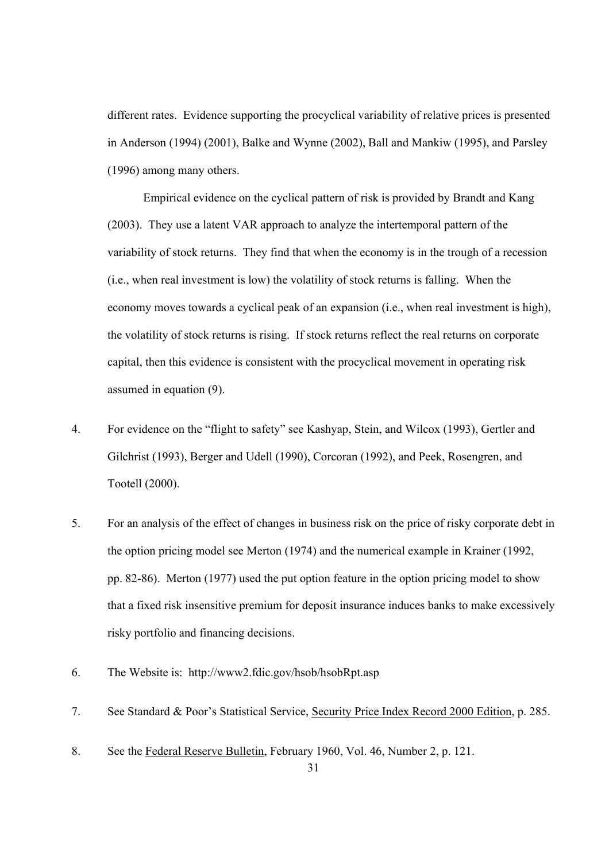different rates. Evidence supporting the procyclical variability of relative prices is presented in Anderson (1994) (2001), Balke and Wynne (2002), Ball and Mankiw (1995), and Parsley (1996) among many others.

Empirical evidence on the cyclical pattern of risk is provided by Brandt and Kang (2003). They use a latent VAR approach to analyze the intertemporal pattern of the variability of stock returns. They find that when the economy is in the trough of a recession (i.e., when real investment is low) the volatility of stock returns is falling. When the economy moves towards a cyclical peak of an expansion (i.e., when real investment is high), the volatility of stock returns is rising. If stock returns reflect the real returns on corporate capital, then this evidence is consistent with the procyclical movement in operating risk assumed in equation (9).

- 4. For evidence on the "flight to safety" see Kashyap, Stein, and Wilcox (1993), Gertler and Gilchrist (1993), Berger and Udell (1990), Corcoran (1992), and Peek, Rosengren, and Tootell (2000).
- 5. For an analysis of the effect of changes in business risk on the price of risky corporate debt in the option pricing model see Merton (1974) and the numerical example in Krainer (1992, pp. 82-86). Merton (1977) used the put option feature in the option pricing model to show that a fixed risk insensitive premium for deposit insurance induces banks to make excessively risky portfolio and financing decisions.
- 6. The Website is: http://www2.fdic.gov/hsob/hsobRpt.asp
- 7. See Standard & Poor's Statistical Service, Security Price Index Record 2000 Edition, p. 285.
- 8. See the Federal Reserve Bulletin, February 1960, Vol. 46, Number 2, p. 121.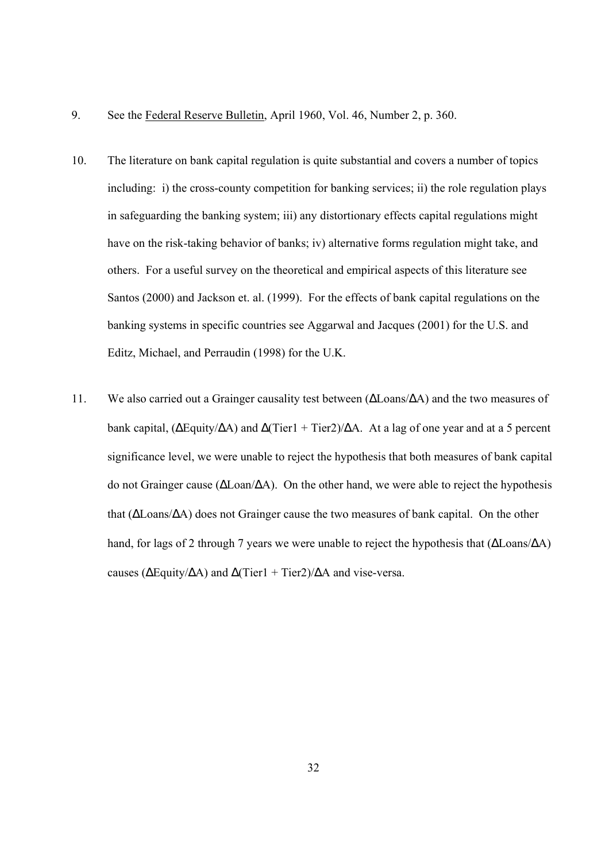- 9. See the Federal Reserve Bulletin, April 1960, Vol. 46, Number 2, p. 360.
- 10. The literature on bank capital regulation is quite substantial and covers a number of topics including: i) the cross-county competition for banking services; ii) the role regulation plays in safeguarding the banking system; iii) any distortionary effects capital regulations might have on the risk-taking behavior of banks; iv) alternative forms regulation might take, and others. For a useful survey on the theoretical and empirical aspects of this literature see Santos (2000) and Jackson et. al. (1999). For the effects of bank capital regulations on the banking systems in specific countries see Aggarwal and Jacques (2001) for the U.S. and Editz, Michael, and Perraudin (1998) for the U.K.
- 11. We also carried out a Grainger causality test between (∆Loans/∆A) and the two measures of bank capital, (∆Equity/∆A) and ∆(Tier1 + Tier2)/∆A. At a lag of one year and at a 5 percent significance level, we were unable to reject the hypothesis that both measures of bank capital do not Grainger cause (∆Loan/∆A). On the other hand, we were able to reject the hypothesis that (∆Loans/∆A) does not Grainger cause the two measures of bank capital. On the other hand, for lags of 2 through 7 years we were unable to reject the hypothesis that (∆Loans/∆A) causes ( $\Delta$ Equity/ $\Delta$ A) and  $\Delta$ (Tier1 + Tier2)/ $\Delta$ A and vise-versa.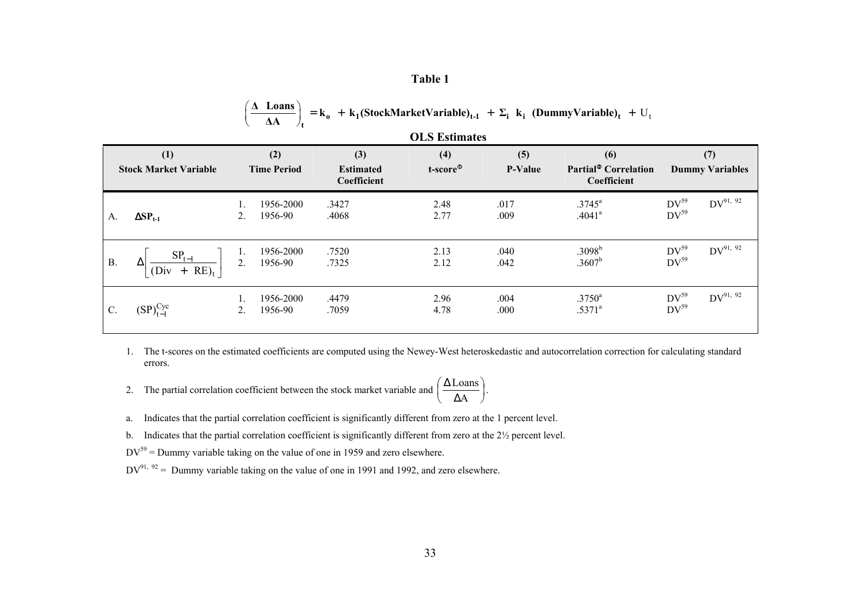#### **Table 1**

| $\left(\frac{\Delta \text{ Loans}}{\Delta A}\right)_t = k_0 + k_1(\text{StockMarketVariable})_{t-1} + \Sigma_i k_i (\text{DummyVariable})_t + U_t$ |  |
|----------------------------------------------------------------------------------------------------------------------------------------------------|--|

| (1)<br><b>Stock Market Variable</b> |                                                       | (2)<br><b>Time Period</b> |                      | (3)<br><b>Estimated</b><br>Coefficient | (4)<br>(5)<br>t-score <sup>®</sup><br><b>P-Value</b> |              | (6)<br>Partial <sup>®</sup> Correlation<br>Coefficient | (7)<br><b>Dummy Variables</b> |               |
|-------------------------------------|-------------------------------------------------------|---------------------------|----------------------|----------------------------------------|------------------------------------------------------|--------------|--------------------------------------------------------|-------------------------------|---------------|
| A.                                  | $\Delta SP_{t-1}$                                     | 1.<br>2.                  | 1956-2000<br>1956-90 | .3427<br>.4068                         | 2.48<br>2.77                                         | .017<br>.009 | $.3745^{\circ}$<br>.4041 <sup>a</sup>                  | $DV^{59}$<br>$DV^{59}$        | $DV^{91, 92}$ |
| <b>B.</b>                           | $SP_{t-1}$<br>Δ<br>(Div)<br>$RE)$ <sub>t</sub><br>$+$ | 2.                        | 1956-2000<br>1956-90 | .7520<br>.7325                         | 2.13<br>2.12                                         | .040<br>.042 | $.3098^{b}$<br>$.3607^b$                               | $DV^{59}$<br>$DV^{59}$        | $DV^{91, 92}$ |
|                                     | $(SP)_{t-1}^{Cyc}$                                    | 2.                        | 1956-2000<br>1956-90 | .4479<br>.7059                         | 2.96<br>4.78                                         | .004<br>.000 | $.3750^{a}$<br>.5371 <sup>a</sup>                      | $DV^{59}$<br>$DV^{59}$        | $DV^{91, 92}$ |

**OLS Estimates** 

- 1. The t-scores on the estimated coefficients are computed using the Newey-West heteroskedastic and autocorrelation correction for calculating standard errors.
- 2.The partial correlation coefficient between the stock market variable and  $\left(\frac{\Delta \text{Loans}}{\Delta A}\right)$ .

a. Indicates that the partial correlation coefficient is significantly different from zero at the 1 percent level.

b. Indicates that the partial correlation coefficient is significantly different from zero at the 2½ percent level.

 $DV^{59}$  = Dummy variable taking on the value of one in 1959 and zero elsewhere.

 $DV^{91, 92}$  = Dummy variable taking on the value of one in 1991 and 1992, and zero elsewhere.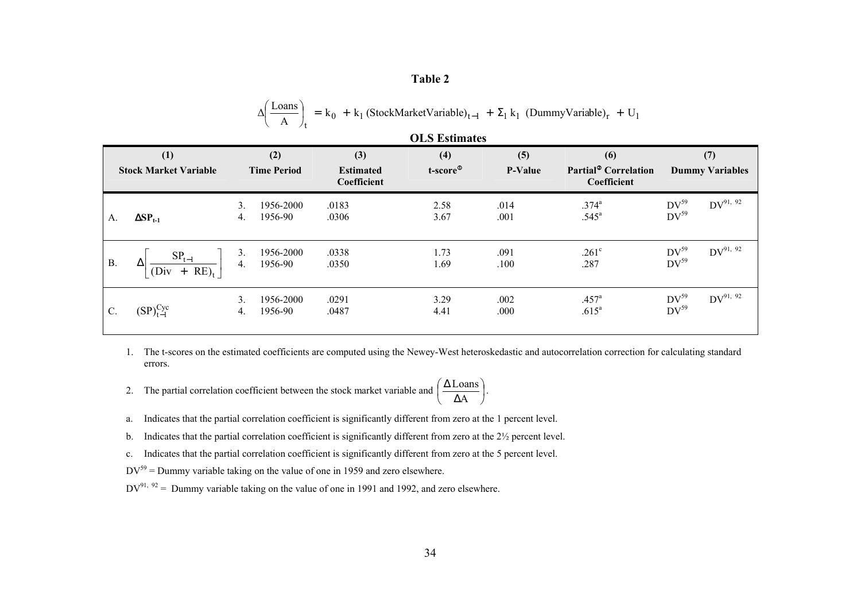#### **Table 2**

|  |  |  |  |  | $\Delta\left(\frac{\text{Loans}}{A}\right)_t = k_0 + k_1 (\text{StockMarketVariable})_{t-1} + \Sigma_1 k_1 (\text{DummyVariable})_r + U_1$ |  |  |
|--|--|--|--|--|--------------------------------------------------------------------------------------------------------------------------------------------|--|--|
|--|--|--|--|--|--------------------------------------------------------------------------------------------------------------------------------------------|--|--|

| (1)<br><b>Stock Market Variable</b> |                                                    | (2)<br><b>Time Period</b> |                      | (5)<br>(3)<br>(4)<br>t-score <sup>®</sup><br>P-Value<br><b>Estimated</b><br>Coefficient |              | (6)<br>Partial <sup>®</sup> Correlation<br>Coefficient | (7)<br><b>Dummy Variables</b>          |                        |               |
|-------------------------------------|----------------------------------------------------|---------------------------|----------------------|-----------------------------------------------------------------------------------------|--------------|--------------------------------------------------------|----------------------------------------|------------------------|---------------|
| A.                                  | $\Delta SP_{t-1}$                                  | 3.<br>4.                  | 1956-2000<br>1956-90 | .0183<br>.0306                                                                          | 2.58<br>3.67 | .014<br>.001                                           | .374 <sup>a</sup><br>$.545^{\circ}$    | $DV^{59}$<br>$DV^{59}$ | $DV^{91, 92}$ |
| <b>B.</b>                           | $SP_{t-1}$<br>$RE)$ <sub>t</sub><br>(Div)<br>$\pm$ | 3.<br>4.                  | 1956-2000<br>1956-90 | .0338<br>.0350                                                                          | 1.73<br>1.69 | .091<br>.100                                           | .261 <sup>c</sup><br>.287              | $DV^{59}$<br>$DV^{59}$ | $DV^{91, 92}$ |
| C.                                  | $(SP)_{t-1}^{Cyc}$                                 | 3.<br>4.                  | 1956-2000<br>1956-90 | .0291<br>.0487                                                                          | 3.29<br>4.41 | .002<br>.000                                           | .457 <sup>a</sup><br>.615 <sup>a</sup> | $DV^{59}$<br>$DV^{59}$ | $DV^{91, 92}$ |

**OLS Estimates** 

1. The t-scores on the estimated coefficients are computed using the Newey-West heteroskedastic and autocorrelation correction for calculating standard errors.

2. The partial correlation coefficient between the stock market variable and  $\left(\frac{\Delta \text{Loans}}{\Delta A}\right)$ .

a. Indicates that the partial correlation coefficient is significantly different from zero at the 1 percent level.

b. Indicates that the partial correlation coefficient is significantly different from zero at the 2½ percent level.

c. Indicates that the partial correlation coefficient is significantly different from zero at the 5 percent level.

 $DV^{59}$  = Dummy variable taking on the value of one in 1959 and zero elsewhere.

 $DV^{91, 92}$  = Dummy variable taking on the value of one in 1991 and 1992, and zero elsewhere.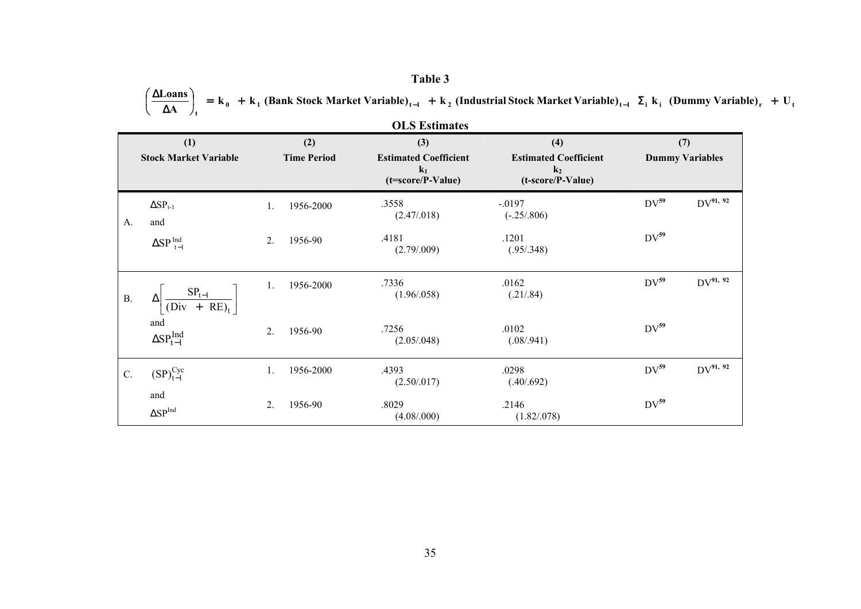| $\left(\frac{\Delta \text{Loans}}{\Delta A}\right)_t = k_0 + k_1$ (Bank Stock Market Variable) <sub>t-1</sub> + k <sub>2</sub> (Industrial Stock Market Variable) <sub>t-1</sub> $\Sigma_i$ k <sub>i</sub> (Dummy Variable) <sub>r</sub> + U <sub>t</sub> |  |
|-----------------------------------------------------------------------------------------------------------------------------------------------------------------------------------------------------------------------------------------------------------|--|
| $\Omega$ $\Gamma$ $\Omega$ $\Omega$ $\Omega$ $\Omega$                                                                                                                                                                                                     |  |

|    |                                                                        |    |                           | <b>OLS Estimates</b>                                                       |                                                                            |           |                               |
|----|------------------------------------------------------------------------|----|---------------------------|----------------------------------------------------------------------------|----------------------------------------------------------------------------|-----------|-------------------------------|
|    | (1)<br><b>Stock Market Variable</b>                                    |    | (2)<br><b>Time Period</b> | (3)<br><b>Estimated Coefficient</b><br>$\mathbf{k}_1$<br>(t=score/P-Value) | (4)<br><b>Estimated Coefficient</b><br>$\mathbf{k}_2$<br>(t-score/P-Value) |           | (7)<br><b>Dummy Variables</b> |
| A. | $\Delta SP_{t-1}$<br>and                                               | 1. | 1956-2000                 | .3558<br>(2.47/0.018)                                                      | $-.0197$<br>$(-.25/.806)$                                                  | $DV^{59}$ | $DV^{91, 92}$                 |
|    | $\Delta {\rm SP}^{\,\rm Ind}_{\,\,t-1}$                                | 2. | 1956-90                   | .4181<br>(2.79/0.009)                                                      | .1201<br>(.95/.348)                                                        | $DV^{59}$ |                               |
| B. | $\frac{\text{SP}_{t-1}}{\text{SP}_{t-1}}$<br>$\Delta$<br>$(Div + RE)t$ | 1. | 1956-2000                 | .7336<br>(1.96/0.058)                                                      | .0162<br>(.21/.84)                                                         | $DV^{59}$ | $DV^{91, 92}$                 |
|    | and<br>$\Delta SP_{t-1}^{Ind}$                                         | 2. | 1956-90                   | .7256<br>(2.05/0.048)                                                      | .0102<br>(.08/.941)                                                        | $DV^{59}$ |                               |
| C. | $(SP)_{t-1}^{Cyc}$                                                     | 1. | 1956-2000                 | .4393<br>(2.50/0.017)                                                      | .0298<br>(.40/.692)                                                        | $DV^{59}$ | $DV^{91, 92}$                 |
|    | and<br>$\Delta SP^{Ind}$                                               | 2. | 1956-90                   | .8029<br>(4.08/000)                                                        | .2146<br>(1.82/0.078)                                                      | $DV^{59}$ |                               |

**Table 3**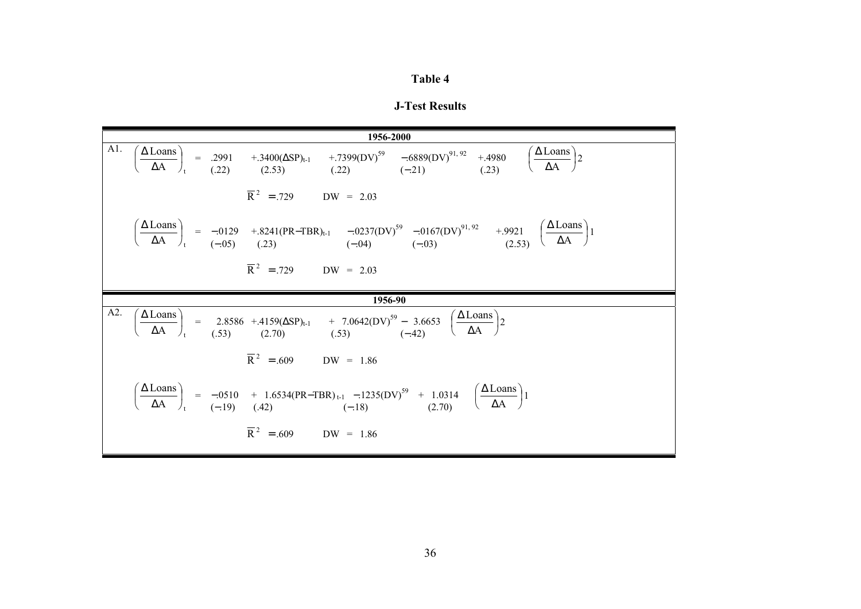|  |  | anı |  |
|--|--|-----|--|
|--|--|-----|--|

**J-Test Results** 

|     | 1956-2000                                                                                                                                                                                                                             |
|-----|---------------------------------------------------------------------------------------------------------------------------------------------------------------------------------------------------------------------------------------|
| A1. | $\left(\frac{\Delta \text{Loans}}{\Delta A}\right)_t = 0.2991 + 0.3400(\Delta SP)_{t-1} + 0.7399(DV)^{59} - 0.6889(DV)^{91,92} + 0.4980$<br>(.22) $(-.21)$ $(-.21)$ $(-.23)$                                                          |
|     | $\overline{R}^2$ = .729 DW = 2.03                                                                                                                                                                                                     |
|     | $\left(\frac{\Delta \text{Loans}}{\Delta A}\right)_t = -0.0129 + 0.8241(\text{PR-TBR})_{t-1} - 0.0237(\text{DV})^{59} - 0.0167(\text{DV})^{91,92} + 0.9921 \left(\frac{\Delta \text{Loans}}{\Delta A}\right)1$<br>$(-0.03)$ $(-0.03)$ |
|     | $\overline{R}^2$ = .729 DW = 2.03                                                                                                                                                                                                     |
|     |                                                                                                                                                                                                                                       |
|     | 1956-90                                                                                                                                                                                                                               |
| A2. | <sup>2</sup> . $\left(\frac{\Delta \text{Loans}}{\Delta A}\right)_t = 2.8586 + .4159(\Delta SP)_{t-1} + 7.0642(DV)^{59} - 3.6653 \left(\frac{\Delta \text{Loans}}{\Delta A}\right)2$<br>(.53) (2.70) (.53) (33)                       |
|     | $\overline{R}^2$ = .609 DW = 1.86                                                                                                                                                                                                     |
|     | $\left(\frac{\Delta \text{Loans}}{\Delta A}\right)_t = -0.0510 + 1.6534(\text{PR-TBR})_{t-1} - 0.1235(\text{DV})^{59} + 1.0314 \left(\frac{\Delta \text{Loans}}{\Delta A}\right)1$<br>(-19) (.42) (-18)                               |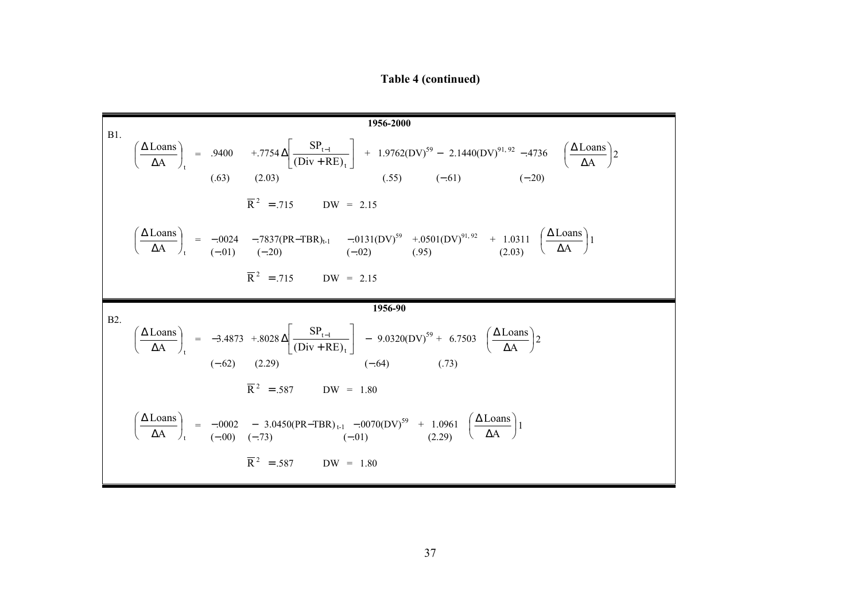**Table 4 (continued)** 

B1.  
\n
$$
\left(\frac{\Delta \text{Loans}}{\Delta A}\right)_{t} = .9400 + .7754\Delta \left[\frac{SP_{t-1}}{(Div + RE)_{t}}\right] + 1.9762(DV)^{59} - 2.1440(DV)^{91,92} - .4736 \left(\frac{\Delta \text{Loans}}{\Delta A}\right)2
$$
\n(63) (2.03) (55) (-61) (-20)  
\n
$$
\overline{R}^{2} = .715 \qquad DW = 2.15
$$
\n
$$
\left(\frac{\Delta \text{Loans}}{\Delta A}\right)_{t} = -.0024 - .7837(PR - TBR)_{t-1} - .0131(DV)^{59} + .0501(DV)^{91,92} + 1.0311 \left(\frac{\Delta \text{Loans}}{\Delta A}\right)1
$$
\n
$$
\overline{R}^{2} = .715 \qquad DW = 2.15
$$
\n1956-90  
\nB2.  
\n
$$
\left(\frac{\Delta \text{Loans}}{\Delta A}\right)_{t} = -3.4873 + .8028\Delta \left[\frac{SP_{t-1}}{(Div + RE)_{t}}\right] - 9.0320(DV)^{59} + 6.7503 \left(\frac{\Delta \text{Loans}}{\Delta A}\right)2
$$
\n(-62) (2.29) (-64) (73)  
\n
$$
\overline{R}^{2} = .587 \qquad DW = 1.80
$$
\n
$$
\left(\frac{\Delta \text{Loans}}{\Delta A}\right)_{t} = -.0002 - 3.0450(PR - TBR)_{t-1} - .0070(DV)^{59} + 1.0961 \left(\frac{\Delta \text{Loans}}{\Delta A}\right)1
$$
\n
$$
\overline{R}^{2} = .587 \qquad DW = 1.80
$$
\n
$$
\overline{R}^{2} = .587 \qquad DW = 1.80
$$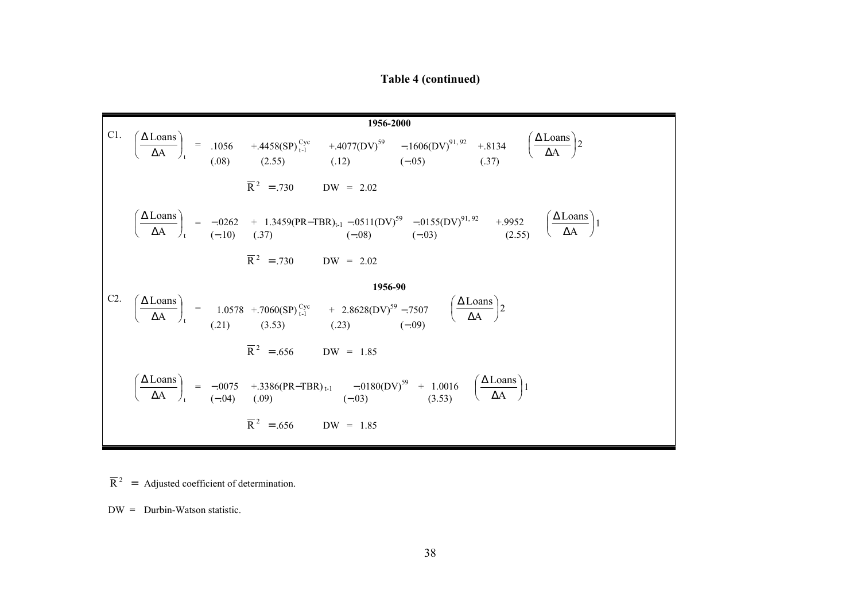**Table 4 (continued)** 

C1. 
$$
\left(\frac{\Delta \text{Loans}}{\Delta A}\right)_t = .1056 + .4458(SP)_{t-1}^{Cyc} + .4077(DV)^{59} - .1606(DV)^{91, 92} + .8134 \left(\frac{\Delta \text{Loans}}{\Delta A}\right)^2
$$
  
\n $\overline{R}^2 = .730$  DW = 2.02  
\n $\left(\frac{\Delta \text{Loans}}{\Delta A}\right)_t = -.0262 + 1.3459(PR-TBR)_{t-1} - .0511(DV)^{59} - .0155(DV)^{91, 92} + .9952 \left(\frac{\Delta \text{Loans}}{\Delta A}\right)^1$   
\n $\overline{R}^2 = .730$  DW = 2.02  
\n $\left(\frac{\Delta \text{Loans}}{\Delta A}\right)_t = (-.10) (.37)$  U = 2.02  
\n1956-90  
\nC2.  $\left(\frac{\Delta \text{Loans}}{\Delta A}\right)_t = 1.0578 + .7060(SP)_{t-1}^{Cyc} + 2.8628(DV)^{59} - .7507 \left(\frac{\Delta \text{Loans}}{\Delta A}\right)^2$   
\n $\overline{R}^2 = .656$  DW = 1.85  
\n $\left(\frac{\Delta \text{Loans}}{\Delta A}\right)_t = -.0075 + .338(PR-TBR)_{t-1} - .0180(DV)^{59} + 1.0016 \left(\frac{\Delta \text{Loans}}{\Delta A}\right)^1$   
\n $\overline{R}^2 = .656$  DW = 1.85  
\n $\frac{\Delta \text{Loans}}{\Delta A} = \frac{-.0075 + .338(PR-TBR)_{t-1} - .0180(DV)^{59} + 1.0016}{(-.03) (3.53)} \left(\frac{\Delta \text{Loans}}{\Delta A}\right)^1$ 

 $\overline{R}^2$  = Adjusted coefficient of determination.

DW = Durbin-Watson statistic.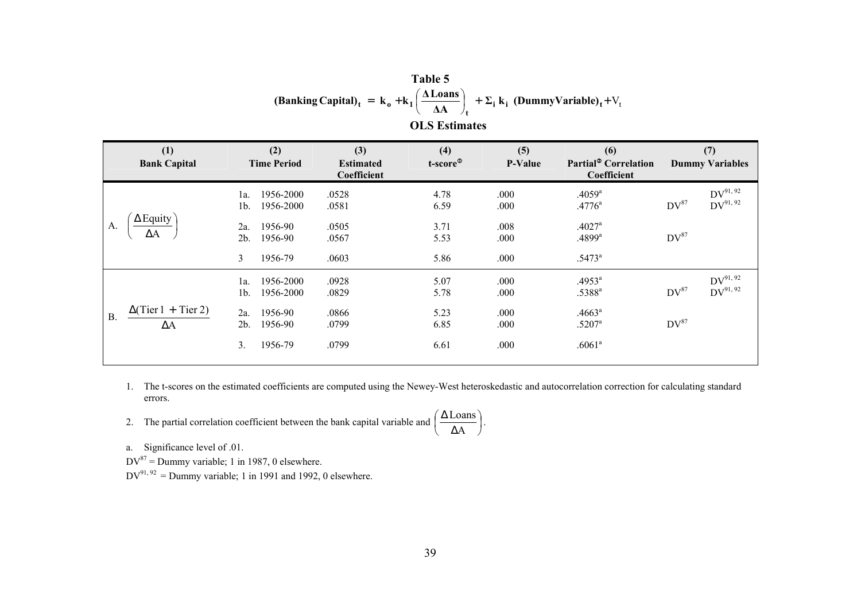| Table 5                                                                                                                                             |
|-----------------------------------------------------------------------------------------------------------------------------------------------------|
| (Banking Capital) <sub>t</sub> = $k_0 + k_1 \left( \frac{\Delta \text{Loans}}{\Delta A} \right)_t + \Sigma_i k_i$ (Dummy Variable) <sub>t</sub> + V |
| <b>OLS</b> Estimates                                                                                                                                |

|       | (1)<br><b>Bank Capital</b> |                | (2)<br><b>Time Period</b> | (3)<br><b>Estimated</b> | (4)<br>t-score <sup>®</sup> | (5)<br>P-Value | (6)<br>Partial <sup>®</sup> Correlation |                  | (7)<br><b>Dummy Variables</b>  |
|-------|----------------------------|----------------|---------------------------|-------------------------|-----------------------------|----------------|-----------------------------------------|------------------|--------------------------------|
|       |                            |                |                           | Coefficient             |                             |                | Coefficient                             |                  |                                |
|       |                            | 1a.            | 1956-2000                 | .0528                   | 4.78                        | .000           | $.4059$ <sup>a</sup>                    |                  | $DV^{91, 92}$                  |
|       |                            | 1b.            | 1956-2000                 | .0581                   | 6.59                        | .000           | $.4776^{a}$                             | $DV^{87}$        | $DV^{91, 92}$                  |
| А.    | $\Delta$ Equity            | 2a             | 1956-90                   | .0505                   | 3.71                        | .008           | .4027a                                  |                  |                                |
|       | ΔΑ                         | 2 <sub>b</sub> | 1956-90                   | .0567                   | 5.53                        | .000           | .4899 <sup>a</sup>                      | $DV^{87}$        |                                |
|       |                            | 3              | 1956-79                   | .0603                   | 5.86                        | .000           | $.5473^a$                               |                  |                                |
|       |                            | 1a.            | 1956-2000                 | .0928                   | 5.07                        | .000           | .4953 <sup>a</sup>                      |                  | $DV^{91, 92}$<br>$DV^{91, 92}$ |
|       |                            | 1b.            | 1956-2000                 | .0829                   | 5.78                        | .000           | .5388ª                                  | DV <sup>87</sup> |                                |
| $B$ . | $\Delta$ (Tier 1 + Tier 2) | $2a$ .         | 1956-90                   | .0866                   | 5.23                        | .000           | .4663 <sup>a</sup>                      |                  |                                |
|       | $\Delta A$                 | 2b.            | 1956-90                   | .0799                   | 6.85                        | .000           | $.5207$ <sup>a</sup>                    | DV <sup>87</sup> |                                |
|       |                            | 3.             | 1956-79                   | .0799                   | 6.61                        | .000           | .6061 <sup>a</sup>                      |                  |                                |

- 1. The t-scores on the estimated coefficients are computed using the Newey-West heteroskedastic and autocorrelation correction for calculating standard errors.
- 2. The partial correlation coefficient between the bank capital variable and  $\left(\frac{\Delta \text{Loans}}{\Delta A}\right)$

a. Significance level of .01.

- $DV^{87} =$  Dummy variable; 1 in 1987, 0 elsewhere.
- $DV^{91, 92}$  = Dummy variable; 1 in 1991 and 1992, 0 elsewhere.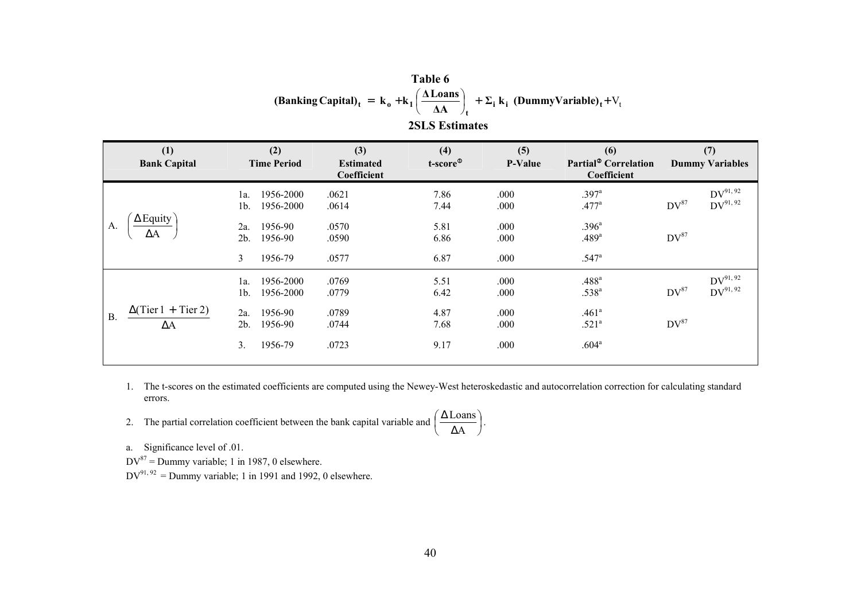| Table 6                                                                                                                                             |
|-----------------------------------------------------------------------------------------------------------------------------------------------------|
| (Banking Capital) <sub>t</sub> = $k_0 + k_1 \left( \frac{\Delta \text{Loans}}{\Delta A} \right)_t + \Sigma_i k_i$ (Dummy Variable) <sub>t</sub> + V |
| <b>2SLS Estimates</b>                                                                                                                               |

| (1)<br><b>Bank Capital</b>                        | (2)<br><b>Time Period</b>                                                                       | (3)<br><b>Estimated</b><br>Coefficient    | (4)<br>t-score <sup>®</sup>          | (5)<br>P-Value                       | (6)<br>Partial <sup>®</sup> Correlation<br>Coefficient                                    |                        | (7)<br><b>Dummy Variables</b>                     |
|---------------------------------------------------|-------------------------------------------------------------------------------------------------|-------------------------------------------|--------------------------------------|--------------------------------------|-------------------------------------------------------------------------------------------|------------------------|---------------------------------------------------|
| $\Delta$ Equity<br>А.                             | 1956-2000<br>1a.<br>1956-2000<br>1 <sub>b</sub><br>1956-90                                      | .0621<br>.0614<br>.0570                   | 7.86<br>7.44                         | .000<br>.000                         | .397 <sup>a</sup><br>.477 <sup>a</sup><br>.396 <sup>a</sup>                               | $DV^{87}$              | $DV^{91, 92}$<br>$DV^{91, 92}$                    |
| ΔΑ                                                | $2a$ .<br>2b.<br>1956-90<br>3<br>1956-79                                                        | .0590<br>.0577                            | 5.81<br>6.86<br>6.87                 | .000<br>.000<br>.000                 | .489 <sup>a</sup><br>$.547$ <sup>a</sup>                                                  | DV <sup>87</sup>       |                                                   |
| $\Delta$ (Tier 1 + Tier 2)<br>$B$ .<br>$\Delta A$ | 1956-2000<br>1a.<br>$1b$ .<br>1956-2000<br>$2a$ .<br>1956-90<br>1956-90<br>2b.<br>1956-79<br>3. | .0769<br>.0779<br>.0789<br>.0744<br>.0723 | 5.51<br>6.42<br>4.87<br>7.68<br>9.17 | .000<br>.000<br>.000<br>.000<br>.000 | .488ª<br>.538 <sup>a</sup><br>.461 <sup>a</sup><br>.521 <sup>a</sup><br>.604 <sup>a</sup> | $DV^{87}$<br>$DV^{87}$ | $\mathrm{DV}^{91,~92}$<br>$\mathrm{DV}^{91,\,92}$ |

- 1. The t-scores on the estimated coefficients are computed using the Newey-West heteroskedastic and autocorrelation correction for calculating standard errors.
- 2. The partial correlation coefficient between the bank capital variable and  $\left(\frac{\Delta \text{Loans}}{\Delta A}\right)$ .

a. Significance level of .01.

- $DV^{87}$  = Dummy variable; 1 in 1987, 0 elsewhere.
- $DV^{91, 92}$  = Dummy variable; 1 in 1991 and 1992, 0 elsewhere.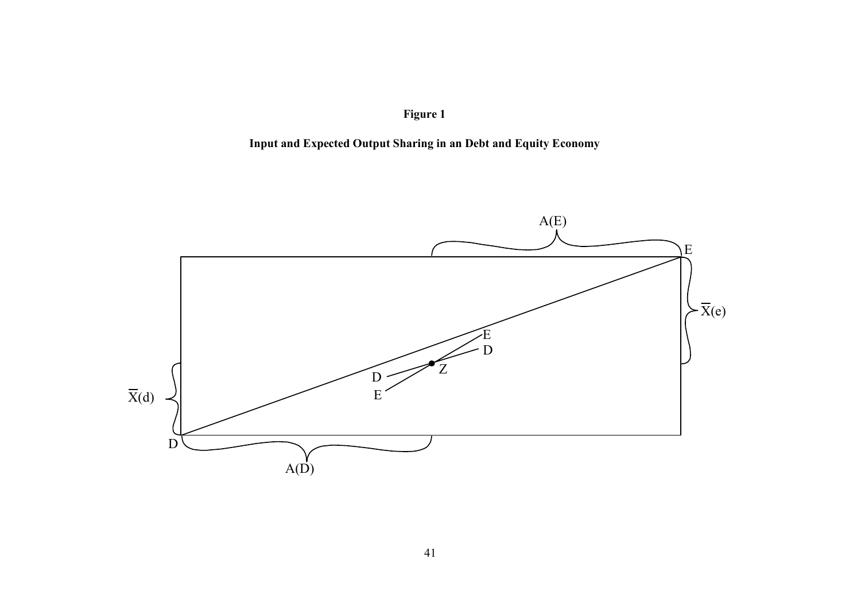

**Input and Expected Output Sharing in an Debt and Equity Economy**

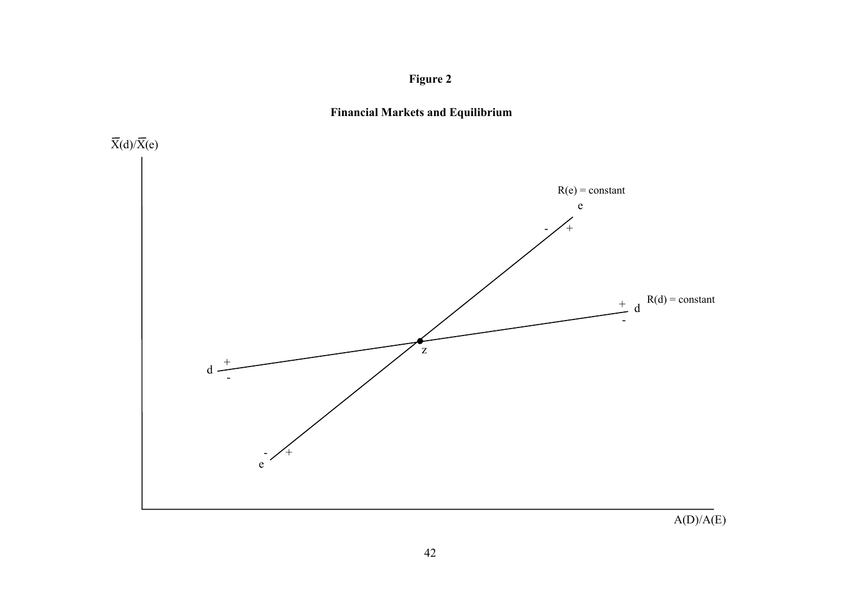**Figure 2** 





 $A(D)/A(E)$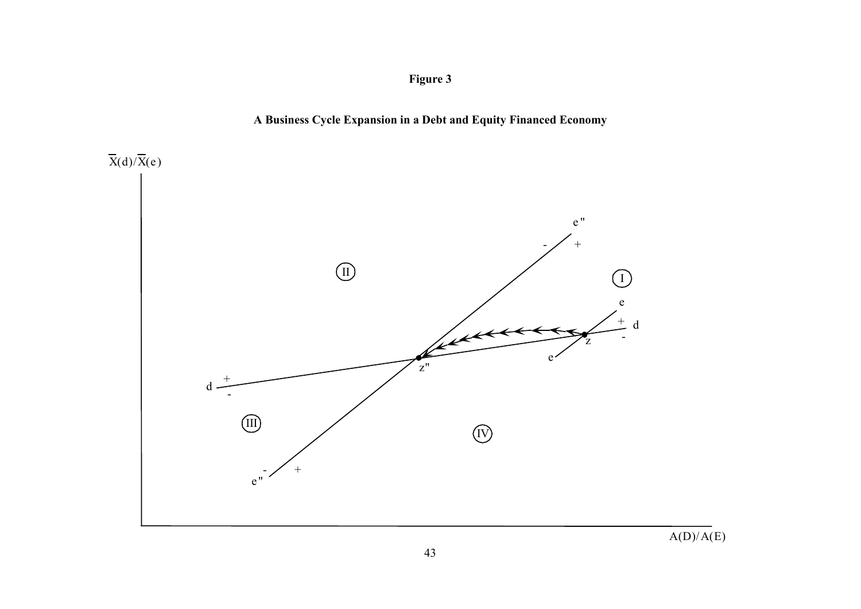**Figure 3** 

# **A Business Cycle Expansion in a Debt and Equity Financed Economy**



 $A(D)/A(E)$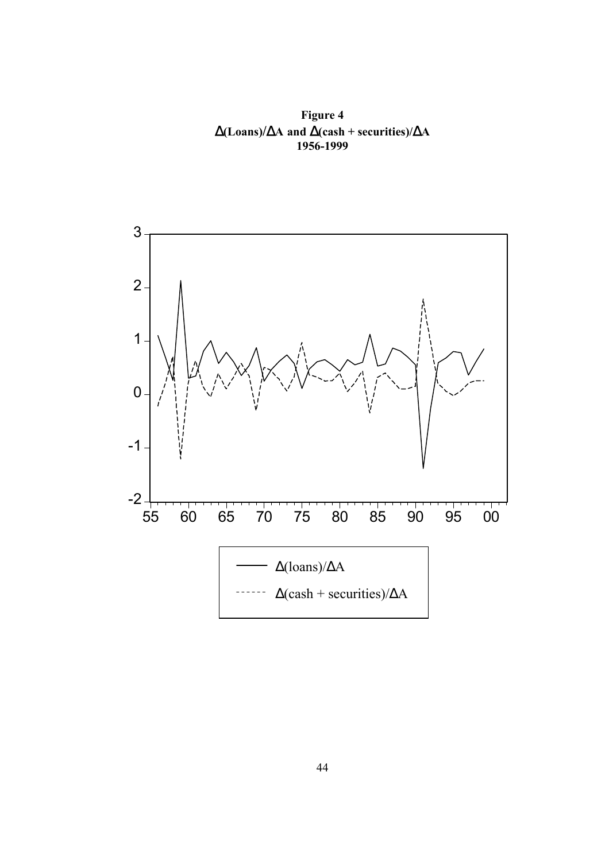**Figure 4**  ∆**(Loans)/**∆**A and** ∆**(cash + securities)/**∆**A 1956-1999** 

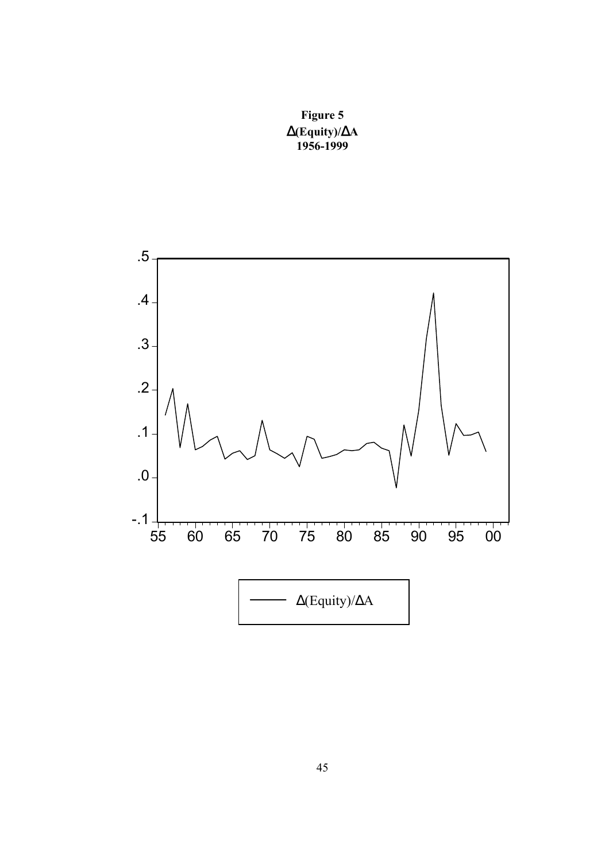

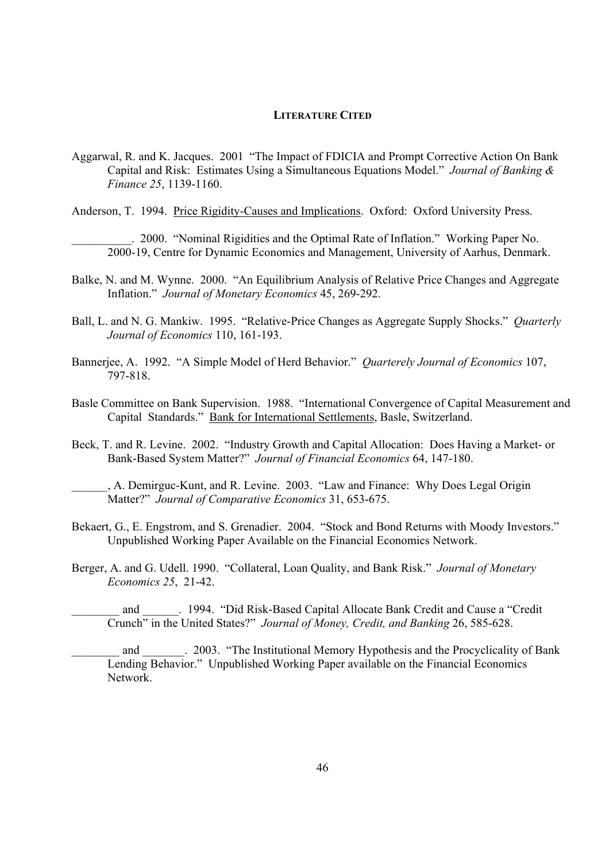# **LITERATURE CITED**

Aggarwal, R. and K. Jacques. 2001 "The Impact of FDICIA and Prompt Corrective Action On Bank Capital and Risk: Estimates Using a Simultaneous Equations Model." *Journal of Banking & Finance 25*, 1139-1160.

Anderson, T. 1994. Price Rigidity-Causes and Implications. Oxford: Oxford University Press.

\_\_\_\_\_\_\_\_\_\_. 2000. "Nominal Rigidities and the Optimal Rate of Inflation." Working Paper No. 2000-19, Centre for Dynamic Economics and Management, University of Aarhus, Denmark.

- Balke, N. and M. Wynne. 2000. "An Equilibrium Analysis of Relative Price Changes and Aggregate Inflation." *Journal of Monetary Economics* 45, 269-292.
- Ball, L. and N. G. Mankiw. 1995. "Relative-Price Changes as Aggregate Supply Shocks." *Quarterly Journal of Economics* 110, 161-193.
- Bannerjee, A. 1992. "A Simple Model of Herd Behavior." *Quarterely Journal of Economics* 107, 797-818.
- Basle Committee on Bank Supervision. 1988. "International Convergence of Capital Measurement and Capital Standards." Bank for International Settlements, Basle, Switzerland.
- Beck, T. and R. Levine. 2002. "Industry Growth and Capital Allocation: Does Having a Market- or Bank-Based System Matter?" *Journal of Financial Economics* 64, 147-180.

\_\_\_\_\_\_, A. Demirguc-Kunt, and R. Levine. 2003. "Law and Finance: Why Does Legal Origin Matter?" *Journal of Comparative Economics* 31, 653-675.

- Bekaert, G., E. Engstrom, and S. Grenadier. 2004. "Stock and Bond Returns with Moody Investors." Unpublished Working Paper Available on the Financial Economics Network.
- Berger, A. and G. Udell. 1990. "Collateral, Loan Quality, and Bank Risk." *Journal of Monetary Economics 25*, 21-42.

\_\_\_\_\_\_\_\_ and \_\_\_\_\_\_. 1994. "Did Risk-Based Capital Allocate Bank Credit and Cause a "Credit Crunch" in the United States?" *Journal of Money, Credit, and Banking* 26, 585-628.

and . 2003. "The Institutional Memory Hypothesis and the Procyclicality of Bank Lending Behavior." Unpublished Working Paper available on the Financial Economics Network.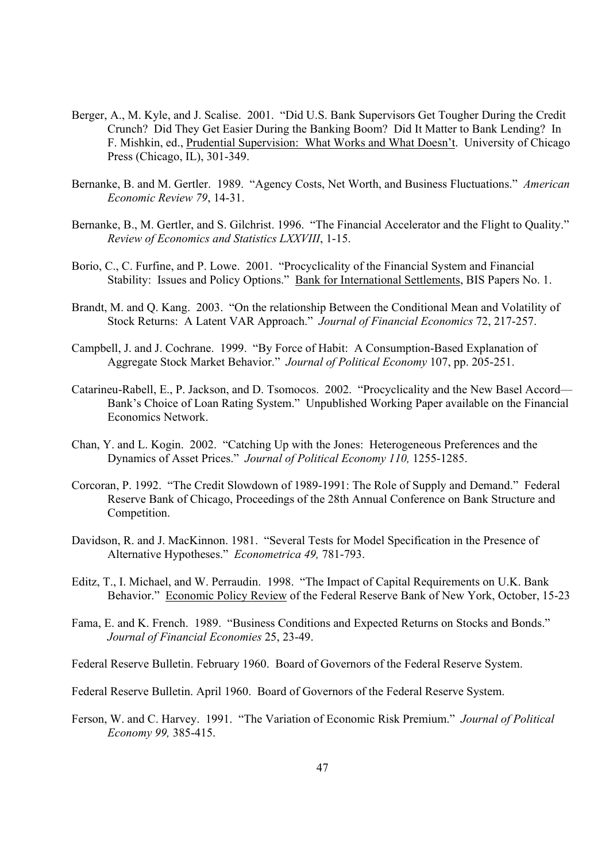- Berger, A., M. Kyle, and J. Scalise. 2001. "Did U.S. Bank Supervisors Get Tougher During the Credit Crunch? Did They Get Easier During the Banking Boom? Did It Matter to Bank Lending? In F. Mishkin, ed., Prudential Supervision: What Works and What Doesn't. University of Chicago Press (Chicago, IL), 301-349.
- Bernanke, B. and M. Gertler. 1989. "Agency Costs, Net Worth, and Business Fluctuations." *American Economic Review 79*, 14-31.
- Bernanke, B., M. Gertler, and S. Gilchrist. 1996. "The Financial Accelerator and the Flight to Quality." *Review of Economics and Statistics LXXVIII*, 1-15.
- Borio, C., C. Furfine, and P. Lowe. 2001. "Procyclicality of the Financial System and Financial Stability: Issues and Policy Options." Bank for International Settlements, BIS Papers No. 1.
- Brandt, M. and Q. Kang. 2003. "On the relationship Between the Conditional Mean and Volatility of Stock Returns: A Latent VAR Approach." *Journal of Financial Economics* 72, 217-257.
- Campbell, J. and J. Cochrane. 1999. "By Force of Habit: A Consumption-Based Explanation of Aggregate Stock Market Behavior." *Journal of Political Economy* 107, pp. 205-251.
- Catarineu-Rabell, E., P. Jackson, and D. Tsomocos. 2002. "Procyclicality and the New Basel Accord— Bank's Choice of Loan Rating System." Unpublished Working Paper available on the Financial Economics Network.
- Chan, Y. and L. Kogin. 2002. "Catching Up with the Jones: Heterogeneous Preferences and the Dynamics of Asset Prices." *Journal of Political Economy 110,* 1255-1285.
- Corcoran, P. 1992. "The Credit Slowdown of 1989-1991: The Role of Supply and Demand." Federal Reserve Bank of Chicago, Proceedings of the 28th Annual Conference on Bank Structure and Competition.
- Davidson, R. and J. MacKinnon. 1981. "Several Tests for Model Specification in the Presence of Alternative Hypotheses." *Econometrica 49,* 781-793.
- Editz, T., I. Michael, and W. Perraudin. 1998. "The Impact of Capital Requirements on U.K. Bank Behavior." Economic Policy Review of the Federal Reserve Bank of New York, October, 15-23
- Fama, E. and K. French. 1989. "Business Conditions and Expected Returns on Stocks and Bonds." *Journal of Financial Economies* 25, 23-49.
- Federal Reserve Bulletin. February 1960. Board of Governors of the Federal Reserve System.
- Federal Reserve Bulletin. April 1960. Board of Governors of the Federal Reserve System.
- Ferson, W. and C. Harvey. 1991. "The Variation of Economic Risk Premium." *Journal of Political Economy 99,* 385-415.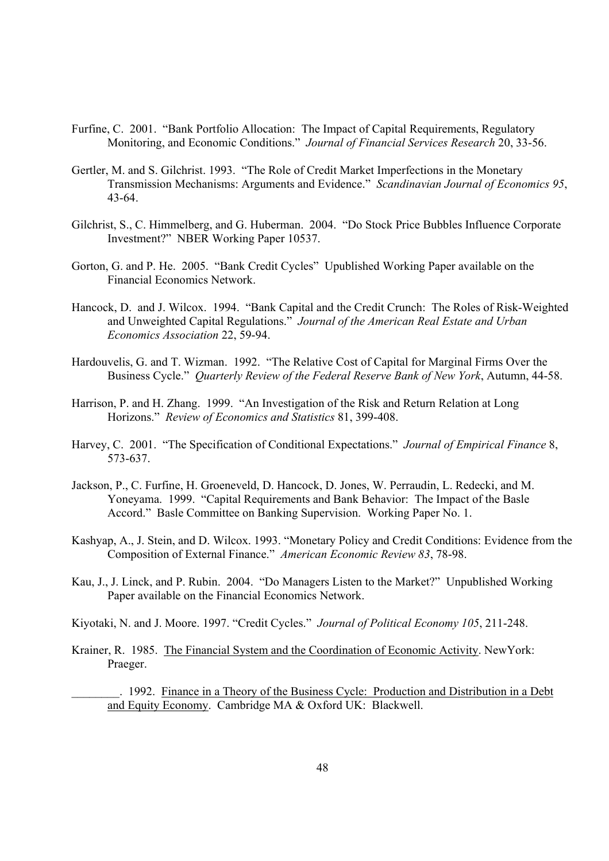- Furfine, C. 2001. "Bank Portfolio Allocation: The Impact of Capital Requirements, Regulatory Monitoring, and Economic Conditions." *Journal of Financial Services Research* 20, 33-56.
- Gertler, M. and S. Gilchrist. 1993. "The Role of Credit Market Imperfections in the Monetary Transmission Mechanisms: Arguments and Evidence." *Scandinavian Journal of Economics 95*, 43-64.
- Gilchrist, S., C. Himmelberg, and G. Huberman. 2004. "Do Stock Price Bubbles Influence Corporate Investment?" NBER Working Paper 10537.
- Gorton, G. and P. He. 2005. "Bank Credit Cycles" Upublished Working Paper available on the Financial Economics Network.
- Hancock, D. and J. Wilcox. 1994. "Bank Capital and the Credit Crunch: The Roles of Risk-Weighted and Unweighted Capital Regulations." *Journal of the American Real Estate and Urban Economics Association* 22, 59-94.
- Hardouvelis, G. and T. Wizman. 1992. "The Relative Cost of Capital for Marginal Firms Over the Business Cycle." *Quarterly Review of the Federal Reserve Bank of New York*, Autumn, 44-58.
- Harrison, P. and H. Zhang. 1999. "An Investigation of the Risk and Return Relation at Long Horizons." *Review of Economics and Statistics* 81, 399-408.
- Harvey, C. 2001. "The Specification of Conditional Expectations." *Journal of Empirical Finance* 8, 573-637.
- Jackson, P., C. Furfine, H. Groeneveld, D. Hancock, D. Jones, W. Perraudin, L. Redecki, and M. Yoneyama. 1999. "Capital Requirements and Bank Behavior: The Impact of the Basle Accord." Basle Committee on Banking Supervision. Working Paper No. 1.
- Kashyap, A., J. Stein, and D. Wilcox. 1993. "Monetary Policy and Credit Conditions: Evidence from the Composition of External Finance." *American Economic Review 83*, 78-98.
- Kau, J., J. Linck, and P. Rubin. 2004. "Do Managers Listen to the Market?" Unpublished Working Paper available on the Financial Economics Network.
- Kiyotaki, N. and J. Moore. 1997. "Credit Cycles." *Journal of Political Economy 105*, 211-248.
- Krainer, R. 1985. The Financial System and the Coordination of Economic Activity. NewYork: Praeger.

\_\_\_\_\_\_\_\_. 1992. Finance in a Theory of the Business Cycle: Production and Distribution in a Debt and Equity Economy. Cambridge MA & Oxford UK: Blackwell.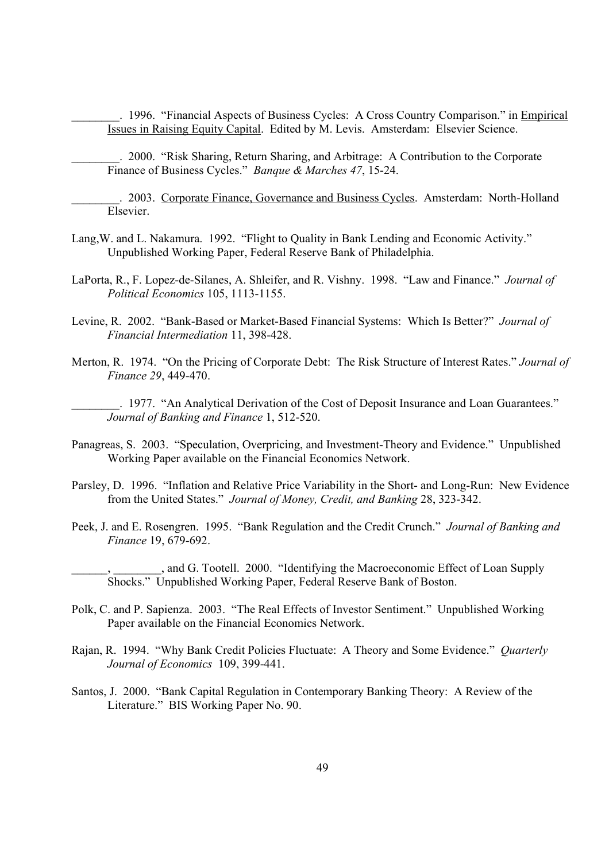\_\_\_\_\_\_\_\_. 1996. "Financial Aspects of Business Cycles: A Cross Country Comparison." in Empirical Issues in Raising Equity Capital. Edited by M. Levis. Amsterdam: Elsevier Science.

\_\_\_\_\_\_\_\_. 2000. "Risk Sharing, Return Sharing, and Arbitrage: A Contribution to the Corporate Finance of Business Cycles." *Banque & Marches 47*, 15-24.

\_\_\_\_\_\_\_\_. 2003. Corporate Finance, Governance and Business Cycles. Amsterdam: North-Holland Elsevier.

- Lang,W. and L. Nakamura. 1992. "Flight to Quality in Bank Lending and Economic Activity." Unpublished Working Paper, Federal Reserve Bank of Philadelphia.
- LaPorta, R., F. Lopez-de-Silanes, A. Shleifer, and R. Vishny. 1998. "Law and Finance." *Journal of Political Economics* 105, 1113-1155.
- Levine, R. 2002. "Bank-Based or Market-Based Financial Systems: Which Is Better?" *Journal of Financial Intermediation* 11, 398-428.
- Merton, R. 1974. "On the Pricing of Corporate Debt: The Risk Structure of Interest Rates." *Journal of Finance 29*, 449-470.

\_\_\_\_\_\_\_\_. 1977. "An Analytical Derivation of the Cost of Deposit Insurance and Loan Guarantees." *Journal of Banking and Finance* 1, 512-520.

- Panagreas, S. 2003. "Speculation, Overpricing, and Investment-Theory and Evidence." Unpublished Working Paper available on the Financial Economics Network.
- Parsley, D. 1996. "Inflation and Relative Price Variability in the Short- and Long-Run: New Evidence from the United States." *Journal of Money, Credit, and Banking* 28, 323-342.
- Peek, J. and E. Rosengren. 1995. "Bank Regulation and the Credit Crunch." *Journal of Banking and Finance* 19, 679-692.
- , and G. Tootell. 2000. "Identifying the Macroeconomic Effect of Loan Supply Shocks." Unpublished Working Paper, Federal Reserve Bank of Boston.
- Polk, C. and P. Sapienza. 2003. "The Real Effects of Investor Sentiment." Unpublished Working Paper available on the Financial Economics Network.
- Rajan, R. 1994. "Why Bank Credit Policies Fluctuate: A Theory and Some Evidence." *Quarterly Journal of Economics* 109, 399-441.
- Santos, J. 2000. "Bank Capital Regulation in Contemporary Banking Theory: A Review of the Literature." BIS Working Paper No. 90.